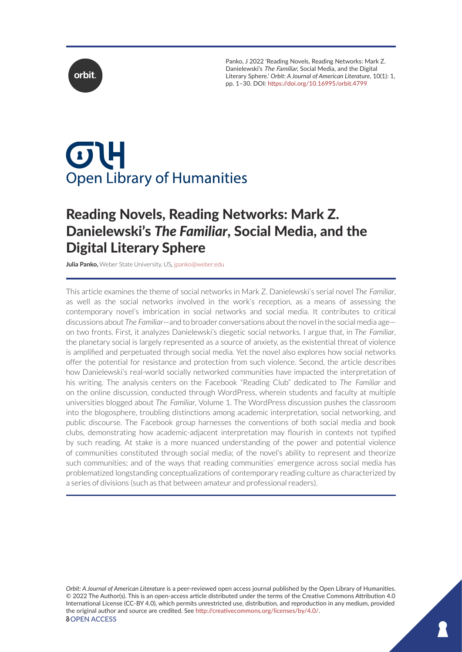

Panko, J 2022 'Reading Novels, Reading Networks: Mark Z. Danielewski's The Familiar, Social Media, and the Digital Literary Sphere.' *Orbit: A Journal of American Literature*, 10(1): 1, pp. 1–30. DOI:<https://doi.org/10.16995/orbit.4799>

# $\sigma$ H **Open Library of Humanities**

# Reading Novels, Reading Networks: Mark Z. Danielewski's *The Familiar*, Social Media, and the Digital Literary Sphere

**Julia Panko,** Weber State University, US*,* [jpanko@weber.edu](mailto:jpanko@weber.edu)

This article examines the theme of social networks in Mark Z. Danielewski's serial novel *The Familiar*, as well as the social networks involved in the work's reception, as a means of assessing the contemporary novel's imbrication in social networks and social media. It contributes to critical discussions about *The Familiar*—and to broader conversations about the novel in the social media age on two fronts. First, it analyzes Danielewski's diegetic social networks. I argue that, in *The Familiar*, the planetary social is largely represented as a source of anxiety, as the existential threat of violence is amplified and perpetuated through social media. Yet the novel also explores how social networks offer the potential for resistance and protection from such violence. Second, the article describes how Danielewski's real-world socially networked communities have impacted the interpretation of his writing. The analysis centers on the Facebook "Reading Club" dedicated to *The Familiar* and on the online discussion, conducted through WordPress, wherein students and faculty at multiple universities blogged about *The Familiar*, Volume 1. The WordPress discussion pushes the classroom into the blogosphere, troubling distinctions among academic interpretation, social networking, and public discourse. The Facebook group harnesses the conventions of both social media and book clubs, demonstrating how academic-adjacent interpretation may flourish in contexts not typified by such reading. At stake is a more nuanced understanding of the power and potential violence of communities constituted through social media; of the novel's ability to represent and theorize such communities; and of the ways that reading communities' emergence across social media has problematized longstanding conceptualizations of contemporary reading culture as characterized by a series of divisions (such as that between amateur and professional readers).

*Orbit: A Journal of American Literature* is a peer-reviewed open access journal published by the Open Library of Humanities. © 2022 The Author(s). This is an open-access article distributed under the terms of the Creative Commons Attribution 4.0 International License (CC-BY 4.0), which permits unrestricted use, distribution, and reproduction in any medium, provided the original author and source are credited. See [http://creativecommons.org/licenses/by/4.0/.](http://creativecommons.org/licenses/by/4.0/) *<u>OOPEN ACCESS</u>*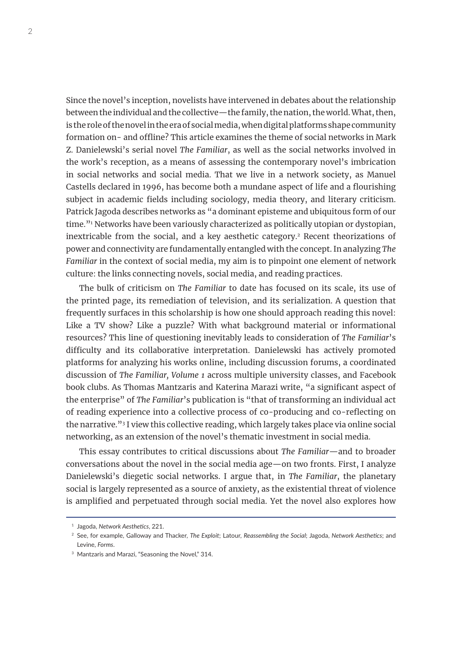Since the novel's inception, novelists have intervened in debates about the relationship between the individual and the collective—the family, the nation, the world. What, then, is the role of the novel in the era of social media, when digital platforms shape community formation on- and offline? This article examines the theme of social networks in Mark Z. Danielewski's serial novel *The Familiar*, as well as the social networks involved in the work's reception, as a means of assessing the contemporary novel's imbrication in social networks and social media. That we live in a network society, as Manuel Castells declared in 1996, has become both a mundane aspect of life and a flourishing subject in academic fields including sociology, media theory, and literary criticism. Patrick Jagoda describes networks as "a dominant episteme and ubiquitous form of our time."1 Networks have been variously characterized as politically utopian or dystopian, inextricable from the social, and a key aesthetic category.2 Recent theorizations of power and connectivity are fundamentally entangled with the concept. In analyzing *The Familiar* in the context of social media, my aim is to pinpoint one element of network culture: the links connecting novels, social media, and reading practices.

The bulk of criticism on *The Familiar* to date has focused on its scale, its use of the printed page, its remediation of television, and its serialization. A question that frequently surfaces in this scholarship is how one should approach reading this novel: Like a TV show? Like a puzzle? With what background material or informational resources? This line of questioning inevitably leads to consideration of *The Familiar*'s difficulty and its collaborative interpretation. Danielewski has actively promoted platforms for analyzing his works online, including discussion forums, a coordinated discussion of *The Familiar, Volume 1* across multiple university classes, and Facebook book clubs. As Thomas Mantzaris and Katerina Marazi write, "a significant aspect of the enterprise" of *The Familiar*'s publication is "that of transforming an individual act of reading experience into a collective process of co-producing and co-reflecting on the narrative."3 I view this collective reading, which largely takes place via online social networking, as an extension of the novel's thematic investment in social media.

This essay contributes to critical discussions about *The Familiar*—and to broader conversations about the novel in the social media age—on two fronts. First, I analyze Danielewski's diegetic social networks. I argue that, in *The Familiar*, the planetary social is largely represented as a source of anxiety, as the existential threat of violence is amplified and perpetuated through social media. Yet the novel also explores how

<sup>1</sup> Jagoda, *Network Aesthetics*, 221.

<sup>2</sup> See, for example, Galloway and Thacker, *The Exploit*; Latour, *Reassembling the Social*; Jagoda, *Network Aesthetics*; and Levine, *Forms*.

<sup>&</sup>lt;sup>3</sup> Mantzaris and Marazi, "Seasoning the Novel," 314.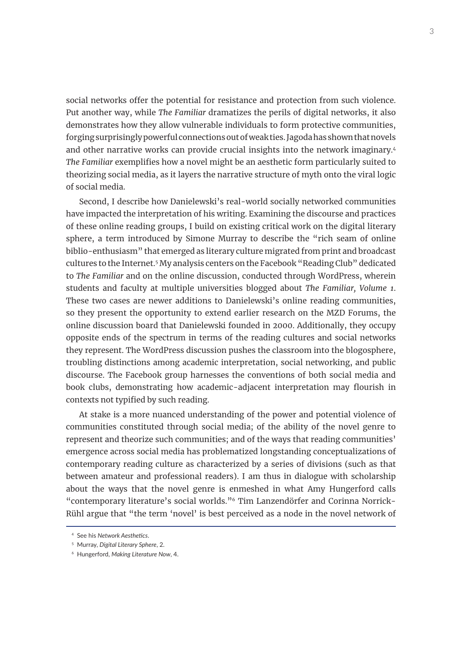social networks offer the potential for resistance and protection from such violence. Put another way, while *The Familiar* dramatizes the perils of digital networks, it also demonstrates how they allow vulnerable individuals to form protective communities, forging surprisingly powerful connections out of weak ties. Jagoda has shown that novels and other narrative works can provide crucial insights into the network imaginary.<sup>4</sup> *The Familiar* exemplifies how a novel might be an aesthetic form particularly suited to theorizing social media, as it layers the narrative structure of myth onto the viral logic of social media.

Second, I describe how Danielewski's real-world socially networked communities have impacted the interpretation of his writing. Examining the discourse and practices of these online reading groups, I build on existing critical work on the digital literary sphere, a term introduced by Simone Murray to describe the "rich seam of online biblio-enthusiasm" that emerged as literary culture migrated from print and broadcast cultures to the Internet.<sup>5</sup> My analysis centers on the Facebook "Reading Club" dedicated to *The Familiar* and on the online discussion, conducted through WordPress, wherein students and faculty at multiple universities blogged about *The Familiar, Volume 1*. These two cases are newer additions to Danielewski's online reading communities, so they present the opportunity to extend earlier research on the MZD Forums, the online discussion board that Danielewski founded in 2000. Additionally, they occupy opposite ends of the spectrum in terms of the reading cultures and social networks they represent. The WordPress discussion pushes the classroom into the blogosphere, troubling distinctions among academic interpretation, social networking, and public discourse. The Facebook group harnesses the conventions of both social media and book clubs, demonstrating how academic-adjacent interpretation may flourish in contexts not typified by such reading.

At stake is a more nuanced understanding of the power and potential violence of communities constituted through social media; of the ability of the novel genre to represent and theorize such communities; and of the ways that reading communities' emergence across social media has problematized longstanding conceptualizations of contemporary reading culture as characterized by a series of divisions (such as that between amateur and professional readers). I am thus in dialogue with scholarship about the ways that the novel genre is enmeshed in what Amy Hungerford calls "contemporary literature's social worlds."6 Tim Lanzendörfer and Corinna Norrick-Rühl argue that "the term 'novel' is best perceived as a node in the novel network of

<sup>4</sup> See his *Network Aesthetics*.

<sup>5</sup> Murray, *Digital Literary Sphere*, 2.

<sup>6</sup> Hungerford, *Making Literature Now*, 4.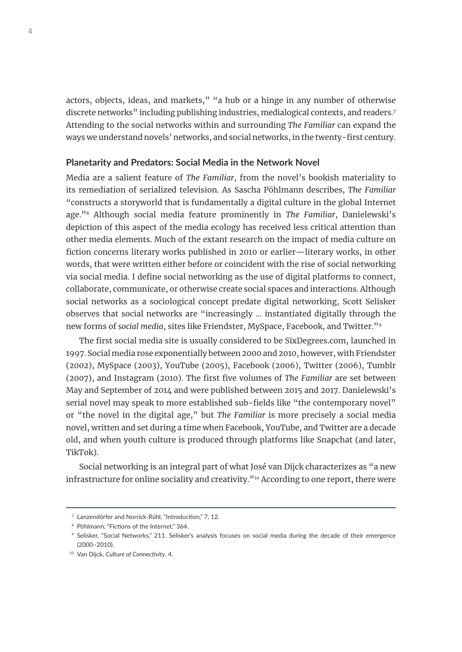actors, objects, ideas, and markets," "a hub or a hinge in any number of otherwise discrete networks" including publishing industries, medialogical contexts, and readers.<sup>7</sup> Attending to the social networks within and surrounding *The Familiar* can expand the ways we understand novels' networks, and social networks, in the twenty-first century.

#### **Planetarity and Predators: Social Media in the Network Novel**

Media are a salient feature of *The Familiar*, from the novel's bookish materiality to its remediation of serialized television. As Sascha Pöhlmann describes, *The Familiar*  "constructs a storyworld that is fundamentally a digital culture in the global Internet age."8 Although social media feature prominently in *The Familiar*, Danielewski's depiction of this aspect of the media ecology has received less critical attention than other media elements. Much of the extant research on the impact of media culture on fiction concerns literary works published in 2010 or earlier—literary works, in other words, that were written either before or coincident with the rise of social networking via social media. I define social networking as the use of digital platforms to connect, collaborate, communicate, or otherwise create social spaces and interactions. Although social networks as a sociological concept predate digital networking, Scott Selisker observes that social networks are "increasingly … instantiated digitally through the new forms of *social media*, sites like Friendster, MySpace, Facebook, and Twitter."9

The first social media site is usually considered to be SixDegrees.com, launched in 1997. Social media rose exponentially between 2000 and 2010, however, with Friendster (2002), MySpace (2003), YouTube (2005), Facebook (2006), Twitter (2006), Tumblr (2007), and Instagram (2010). The first five volumes of *The Familiar* are set between May and September of 2014 and were published between 2015 and 2017. Danielewski's serial novel may speak to more established sub-fields like "the contemporary novel" or "the novel in the digital age," but *The Familiar* is more precisely a social media novel, written and set during a time when Facebook, YouTube, and Twitter are a decade old, and when youth culture is produced through platforms like Snapchat (and later, TikTok).

Social networking is an integral part of what José van Dijck characterizes as "a new infrastructure for online sociality and creativity."10 According to one report, there were

<sup>7</sup> Lanzendörfer and Norrick-Rühl, "Introduction," 7, 12.

<sup>&</sup>lt;sup>8</sup> Pöhlmann, "Fictions of the Internet," 364.

<sup>9</sup> Selisker, "Social Networks," 211. Selisker's analysis focuses on social media during the decade of their emergence (2000–2010).

<sup>10</sup> Van Dijck, *Culture of Connectivity*, 4.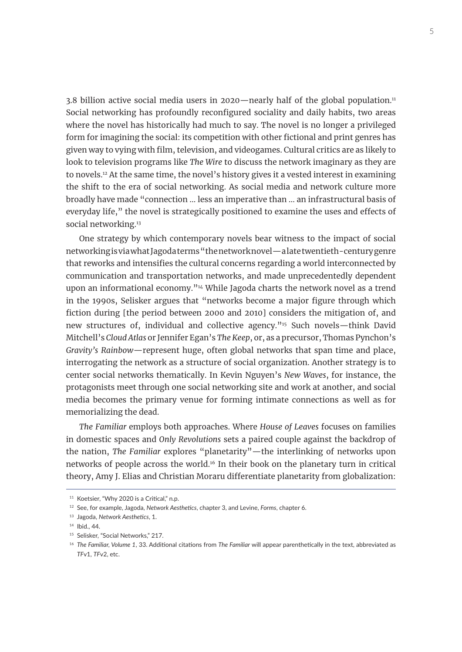$3.8$  billion active social media users in 2020—nearly half of the global population.<sup>11</sup> Social networking has profoundly reconfigured sociality and daily habits, two areas where the novel has historically had much to say. The novel is no longer a privileged form for imagining the social: its competition with other fictional and print genres has given way to vying with film, television, and videogames. Cultural critics are as likely to look to television programs like *The Wire* to discuss the network imaginary as they are to novels.12 At the same time, the novel's history gives it a vested interest in examining the shift to the era of social networking. As social media and network culture more broadly have made "connection … less an imperative than … an infrastructural basis of everyday life," the novel is strategically positioned to examine the uses and effects of social networking.<sup>13</sup>

One strategy by which contemporary novels bear witness to the impact of social networking is via what Jagoda terms "the network novel—a late twentieth-century genre that reworks and intensifies the cultural concerns regarding a world interconnected by communication and transportation networks, and made unprecedentedly dependent upon an informational economy."14 While Jagoda charts the network novel as a trend in the 1990s, Selisker argues that "networks become a major figure through which fiction during [the period between 2000 and 2010] considers the mitigation of, and new structures of, individual and collective agency."<sup>15</sup> Such novels—think David Mitchell's *Cloud Atlas* or Jennifer Egan's *The Keep*, or, as a precursor, Thomas Pynchon's *Gravity's Rainbow*—represent huge, often global networks that span time and place, interrogating the network as a structure of social organization. Another strategy is to center social networks thematically. In Kevin Nguyen's *New Waves*, for instance, the protagonists meet through one social networking site and work at another, and social media becomes the primary venue for forming intimate connections as well as for memorializing the dead.

*The Familiar* employs both approaches. Where *House of Leaves* focuses on families in domestic spaces and *Only Revolutions* sets a paired couple against the backdrop of the nation, *The Familiar* explores "planetarity"—the interlinking of networks upon networks of people across the world.16 In their book on the planetary turn in critical theory, Amy J. Elias and Christian Moraru differentiate planetarity from globalization:

<sup>&</sup>lt;sup>11</sup> Koetsier, "Why 2020 is a Critical," n.p.

<sup>12</sup> See, for example, Jagoda, *Network Aesthetics*, chapter 3, and Levine, *Forms*, chapter 6.

<sup>13</sup> Jagoda, *Network Aesthetics*, 1.

<sup>14</sup> Ibid., 44.

<sup>&</sup>lt;sup>15</sup> Selisker, "Social Networks," 217.

<sup>16</sup> *The Familiar, Volume 1*, 33. Additional citations from *The Familiar* will appear parenthetically in the text, abbreviated as *TF*v1, *TF*v2, etc.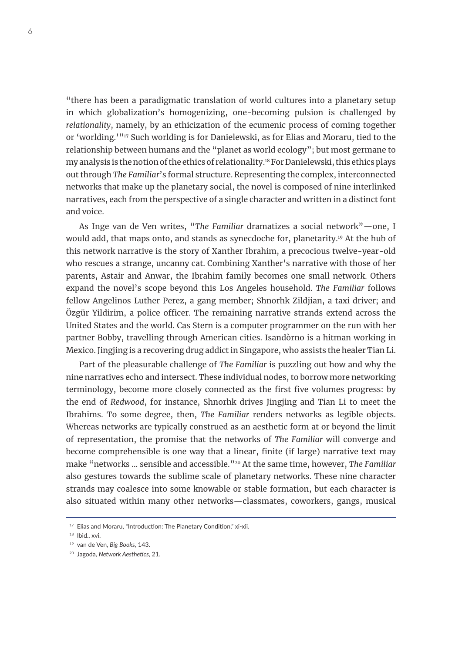"there has been a paradigmatic translation of world cultures into a planetary setup in which globalization's homogenizing, one-becoming pulsion is challenged by *relationality*, namely, by an ethicization of the ecumenic process of coming together or 'worlding.'"<sup>17</sup> Such worlding is for Danielewski, as for Elias and Moraru, tied to the relationship between humans and the "planet as world ecology"; but most germane to my analysis is the notion of the ethics of relationality.18 For Danielewski, this ethics plays out through *The Familiar*'s formal structure. Representing the complex, interconnected networks that make up the planetary social, the novel is composed of nine interlinked narratives, each from the perspective of a single character and written in a distinct font and voice.

As Inge van de Ven writes, "*The Familiar* dramatizes a social network"—one, I would add, that maps onto, and stands as synecdoche for, planetarity.19 At the hub of this network narrative is the story of Xanther Ibrahim, a precocious twelve-year-old who rescues a strange, uncanny cat. Combining Xanther's narrative with those of her parents, Astair and Anwar, the Ibrahim family becomes one small network. Others expand the novel's scope beyond this Los Angeles household. *The Familiar* follows fellow Angelinos Luther Perez, a gang member; Shnorhk Zildjian, a taxi driver; and Özgür Yildirim, a police officer. The remaining narrative strands extend across the United States and the world. Cas Stern is a computer programmer on the run with her partner Bobby, travelling through American cities. Isandòrno is a hitman working in Mexico. Jingjing is a recovering drug addict in Singapore, who assists the healer Tian Li.

Part of the pleasurable challenge of *The Familiar* is puzzling out how and why the nine narratives echo and intersect. These individual nodes, to borrow more networking terminology, become more closely connected as the first five volumes progress: by the end of *Redwood*, for instance, Shnorhk drives Jingjing and Tian Li to meet the Ibrahims. To some degree, then, *The Familiar* renders networks as legible objects. Whereas networks are typically construed as an aesthetic form at or beyond the limit of representation, the promise that the networks of *The Familiar* will converge and become comprehensible is one way that a linear, finite (if large) narrative text may make "networks … sensible and accessible."20 At the same time, however, *The Familiar* also gestures towards the sublime scale of planetary networks. These nine character strands may coalesce into some knowable or stable formation, but each character is also situated within many other networks—classmates, coworkers, gangs, musical

<sup>&</sup>lt;sup>17</sup> Elias and Moraru, "Introduction: The Planetary Condition," xi-xii.

<sup>&</sup>lt;sup>18</sup> Ibid., xvi.

<sup>19</sup> van de Ven, *Big Books*, 143.

<sup>20</sup> Jagoda, *Network Aesthetics*, 21.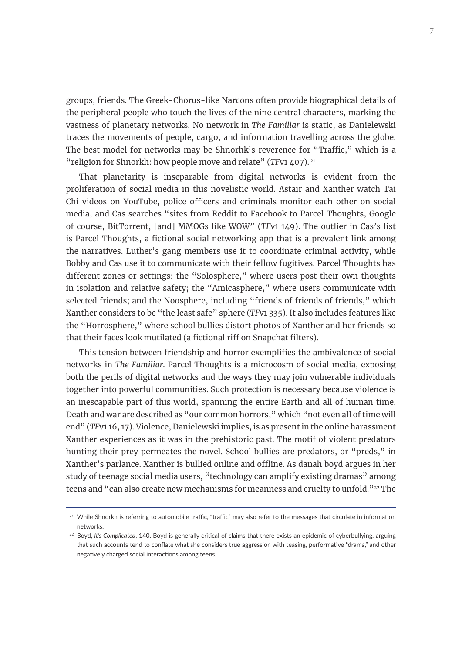groups, friends. The Greek-Chorus-like Narcons often provide biographical details of the peripheral people who touch the lives of the nine central characters, marking the vastness of planetary networks. No network in *The Familiar* is static, as Danielewski traces the movements of people, cargo, and information travelling across the globe. The best model for networks may be Shnorhk's reverence for "Traffic," which is a "religion for Shnorkh: how people move and relate" (*TFv1* 407).<sup>21</sup>

That planetarity is inseparable from digital networks is evident from the proliferation of social media in this novelistic world. Astair and Xanther watch Tai Chi videos on YouTube, police officers and criminals monitor each other on social media, and Cas searches "sites from Reddit to Facebook to Parcel Thoughts, Google of course, BitTorrent, [and] MMOGs like WOW" (*TF*v1 149). The outlier in Cas's list is Parcel Thoughts, a fictional social networking app that is a prevalent link among the narratives. Luther's gang members use it to coordinate criminal activity, while Bobby and Cas use it to communicate with their fellow fugitives. Parcel Thoughts has different zones or settings: the "Solosphere," where users post their own thoughts in isolation and relative safety; the "Amicasphere," where users communicate with selected friends; and the Noosphere, including "friends of friends of friends," which Xanther considers to be "the least safe" sphere (*TF*v1 335). It also includes features like the "Horrosphere," where school bullies distort photos of Xanther and her friends so that their faces look mutilated (a fictional riff on Snapchat filters).

This tension between friendship and horror exemplifies the ambivalence of social networks in *The Familiar*. Parcel Thoughts is a microcosm of social media, exposing both the perils of digital networks and the ways they may join vulnerable individuals together into powerful communities. Such protection is necessary because violence is an inescapable part of this world, spanning the entire Earth and all of human time. Death and war are described as "our common horrors," which "not even all of time will end" (*TF*v1 16, 17). Violence, Danielewski implies, is as present in the online harassment Xanther experiences as it was in the prehistoric past. The motif of violent predators hunting their prey permeates the novel. School bullies are predators, or "preds," in Xanther's parlance. Xanther is bullied online and offline. As danah boyd argues in her study of teenage social media users, "technology can amplify existing dramas" among teens and "can also create new mechanisms for meanness and cruelty to unfold."<sup>22</sup> The

<sup>&</sup>lt;sup>21</sup> While Shnorkh is referring to automobile traffic, "traffic" may also refer to the messages that circulate in information networks.

<sup>&</sup>lt;sup>22</sup> Boyd, It's Complicated, 140. Boyd is generally critical of claims that there exists an epidemic of cyberbullying, arguing that such accounts tend to conflate what she considers true aggression with teasing, performative "drama," and other negatively charged social interactions among teens.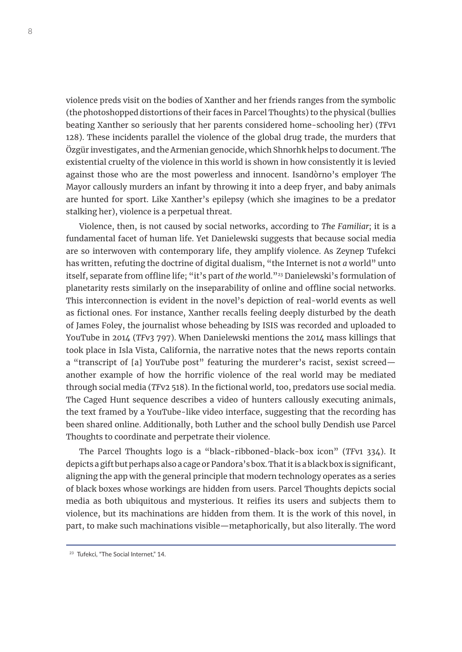violence preds visit on the bodies of Xanther and her friends ranges from the symbolic (the photoshopped distortions of their faces in Parcel Thoughts) to the physical (bullies beating Xanther so seriously that her parents considered home-schooling her) (*TF*v1 128). These incidents parallel the violence of the global drug trade, the murders that Özgür investigates, and the Armenian genocide, which Shnorhk helps to document. The existential cruelty of the violence in this world is shown in how consistently it is levied against those who are the most powerless and innocent. Isandòrno's employer The Mayor callously murders an infant by throwing it into a deep fryer, and baby animals are hunted for sport. Like Xanther's epilepsy (which she imagines to be a predator stalking her), violence is a perpetual threat.

Violence, then, is not caused by social networks, according to *The Familiar*; it is a fundamental facet of human life. Yet Danielewski suggests that because social media are so interwoven with contemporary life, they amplify violence. As Zeynep Tufekci has written, refuting the doctrine of digital dualism, "the Internet is not *a* world" unto itself, separate from offline life; "it's part of *the* world."23 Danielewski's formulation of planetarity rests similarly on the inseparability of online and offline social networks. This interconnection is evident in the novel's depiction of real-world events as well as fictional ones. For instance, Xanther recalls feeling deeply disturbed by the death of James Foley, the journalist whose beheading by ISIS was recorded and uploaded to YouTube in 2014 (*TF*v3 797). When Danielewski mentions the 2014 mass killings that took place in Isla Vista, California, the narrative notes that the news reports contain a "transcript of [a] YouTube post" featuring the murderer's racist, sexist screed another example of how the horrific violence of the real world may be mediated through social media (*TF*v2 518). In the fictional world, too, predators use social media. The Caged Hunt sequence describes a video of hunters callously executing animals, the text framed by a YouTube-like video interface, suggesting that the recording has been shared online. Additionally, both Luther and the school bully Dendish use Parcel Thoughts to coordinate and perpetrate their violence.

The Parcel Thoughts logo is a "black-ribboned-black-box icon" (*TF*v1 334). It depicts a gift but perhaps also a cage or Pandora's box. That it is a black box is significant, aligning the app with the general principle that modern technology operates as a series of black boxes whose workings are hidden from users. Parcel Thoughts depicts social media as both ubiquitous and mysterious. It reifies its users and subjects them to violence, but its machinations are hidden from them. It is the work of this novel, in part, to make such machinations visible—metaphorically, but also literally. The word

<sup>&</sup>lt;sup>23</sup> Tufekci, "The Social Internet," 14.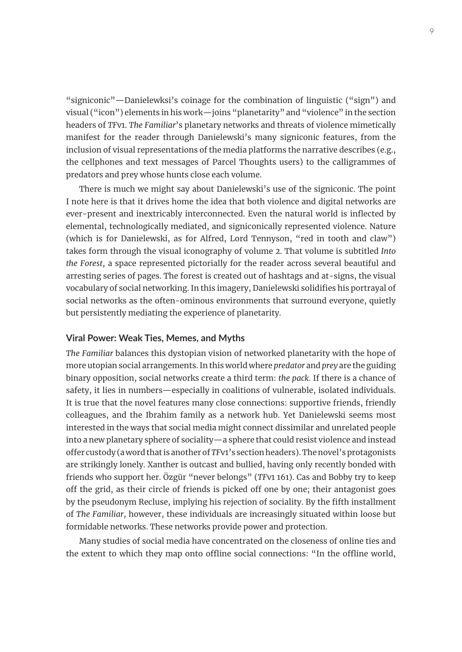"signiconic"—Danielewksi's coinage for the combination of linguistic ("sign") and visual ("icon") elements in his work—joins "planetarity" and "violence" in the section headers of *TF*v1. *The Familiar*'s planetary networks and threats of violence mimetically manifest for the reader through Danielewski's many signiconic features, from the inclusion of visual representations of the media platforms the narrative describes (e.g., the cellphones and text messages of Parcel Thoughts users) to the calligrammes of predators and prey whose hunts close each volume.

There is much we might say about Danielewski's use of the signiconic. The point I note here is that it drives home the idea that both violence and digital networks are ever-present and inextricably interconnected. Even the natural world is inflected by elemental, technologically mediated, and signiconically represented violence. Nature (which is for Danielewski, as for Alfred, Lord Tennyson, "red in tooth and claw") takes form through the visual iconography of volume 2. That volume is subtitled *Into the Forest*, a space represented pictorially for the reader across several beautiful and arresting series of pages. The forest is created out of hashtags and at-signs, the visual vocabulary of social networking. In this imagery, Danielewski solidifies his portrayal of social networks as the often-ominous environments that surround everyone, quietly but persistently mediating the experience of planetarity.

### **Viral Power: Weak Ties, Memes, and Myths**

*The Familiar* balances this dystopian vision of networked planetarity with the hope of more utopian social arrangements. In this world where *predator* and *prey* are the guiding binary opposition, social networks create a third term: *the pack*. If there is a chance of safety, it lies in numbers—especially in coalitions of vulnerable, isolated individuals. It is true that the novel features many close connections: supportive friends, friendly colleagues, and the Ibrahim family as a network hub. Yet Danielewski seems most interested in the ways that social media might connect dissimilar and unrelated people into a new planetary sphere of sociality—a sphere that could resist violence and instead offer custody (a word that is another of *TF*v1's section headers). The novel's protagonists are strikingly lonely. Xanther is outcast and bullied, having only recently bonded with friends who support her. Özgür "never belongs" (*TF*v1 161). Cas and Bobby try to keep off the grid, as their circle of friends is picked off one by one; their antagonist goes by the pseudonym Recluse, implying his rejection of sociality. By the fifth installment of *The Familiar*, however, these individuals are increasingly situated within loose but formidable networks. These networks provide power and protection.

Many studies of social media have concentrated on the closeness of online ties and the extent to which they map onto offline social connections: "In the offline world,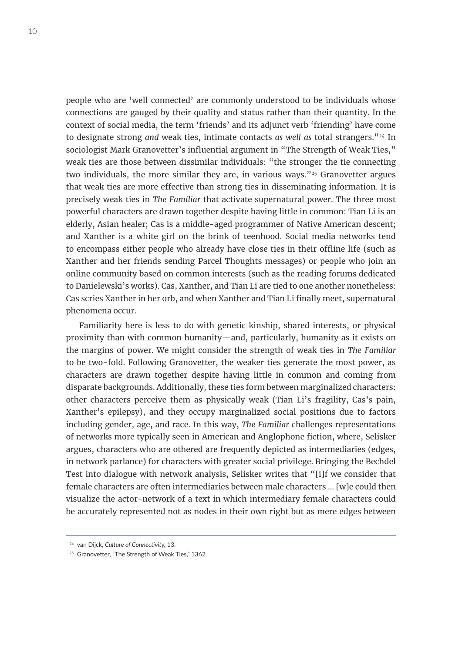people who are 'well connected' are commonly understood to be individuals whose connections are gauged by their quality and status rather than their quantity. In the context of social media, the term 'friends' and its adjunct verb 'friending' have come to designate strong *and* weak ties, intimate contacts *as well as* total strangers."<sup>24</sup> In sociologist Mark Granovetter's influential argument in "The Strength of Weak Ties," weak ties are those between dissimilar individuals: "the stronger the tie connecting two individuals, the more similar they are, in various ways." $25$  Granovetter argues that weak ties are more effective than strong ties in disseminating information. It is precisely weak ties in *The Familiar* that activate supernatural power. The three most powerful characters are drawn together despite having little in common: Tian Li is an elderly, Asian healer; Cas is a middle-aged programmer of Native American descent; and Xanther is a white girl on the brink of teenhood. Social media networks tend to encompass either people who already have close ties in their offline life (such as Xanther and her friends sending Parcel Thoughts messages) or people who join an online community based on common interests (such as the reading forums dedicated to Danielewski's works). Cas, Xanther, and Tian Li are tied to one another nonetheless: Cas scries Xanther in her orb, and when Xanther and Tian Li finally meet, supernatural phenomena occur.

Familiarity here is less to do with genetic kinship, shared interests, or physical proximity than with common humanity—and, particularly, humanity as it exists on the margins of power. We might consider the strength of weak ties in *The Familiar* to be two-fold. Following Granovetter, the weaker ties generate the most power, as characters are drawn together despite having little in common and coming from disparate backgrounds. Additionally, these ties form between marginalized characters: other characters perceive them as physically weak (Tian Li's fragility, Cas's pain, Xanther's epilepsy), and they occupy marginalized social positions due to factors including gender, age, and race. In this way, *The Familiar* challenges representations of networks more typically seen in American and Anglophone fiction, where, Selisker argues, characters who are othered are frequently depicted as intermediaries (edges, in network parlance) for characters with greater social privilege. Bringing the Bechdel Test into dialogue with network analysis, Selisker writes that "[i]f we consider that female characters are often intermediaries between male characters … [w]e could then visualize the actor-network of a text in which intermediary female characters could be accurately represented not as nodes in their own right but as mere edges between

<sup>24</sup> van Dijck, *Culture of Connectivity,* 13.

<sup>&</sup>lt;sup>25</sup> Granovetter, "The Strength of Weak Ties," 1362.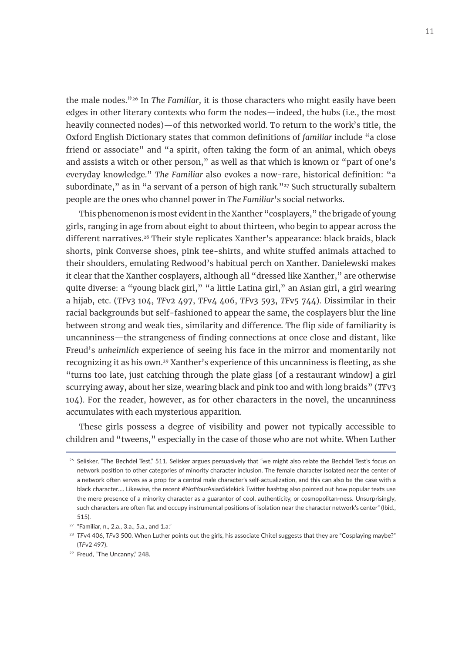the male nodes."26 In *The Familiar*, it is those characters who might easily have been edges in other literary contexts who form the nodes—indeed, the hubs (i.e., the most heavily connected nodes)—of this networked world. To return to the work's title, the Oxford English Dictionary states that common definitions of *familiar* include "a close friend or associate" and "a spirit, often taking the form of an animal, which obeys and assists a witch or other person," as well as that which is known or "part of one's everyday knowledge." *The Familiar* also evokes a now-rare, historical definition: "a subordinate," as in "a servant of a person of high rank." $27$  Such structurally subaltern people are the ones who channel power in *The Familiar*'s social networks.

This phenomenon is most evident in the Xanther "cosplayers," the brigade of young girls, ranging in age from about eight to about thirteen, who begin to appear across the different narratives.<sup>28</sup> Their style replicates Xanther's appearance: black braids, black shorts, pink Converse shoes, pink tee-shirts, and white stuffed animals attached to their shoulders, emulating Redwood's habitual perch on Xanther. Danielewski makes it clear that the Xanther cosplayers, although all "dressed like Xanther," are otherwise quite diverse: a "young black girl," "a little Latina girl," an Asian girl, a girl wearing a hijab, etc. (*TF*v3 104, *TF*v2 497, *TF*v4 406, *TF*v3 593, *TF*v5 744). Dissimilar in their racial backgrounds but self-fashioned to appear the same, the cosplayers blur the line between strong and weak ties, similarity and difference. The flip side of familiarity is uncanniness—the strangeness of finding connections at once close and distant, like Freud's *unheimlich* experience of seeing his face in the mirror and momentarily not recognizing it as his own.29 Xanther's experience of this uncanniness is fleeting, as she "turns too late, just catching through the plate glass [of a restaurant window] a girl scurrying away, about her size, wearing black and pink too and with long braids" (*TF*v3 104). For the reader, however, as for other characters in the novel, the uncanniness accumulates with each mysterious apparition.

These girls possess a degree of visibility and power not typically accessible to children and "tweens," especially in the case of those who are not white. When Luther

<sup>&</sup>lt;sup>26</sup> Selisker, "The Bechdel Test," 511. Selisker argues persuasively that "we might also relate the Bechdel Test's focus on network position to other categories of minority character inclusion. The female character isolated near the center of a network often serves as a prop for a central male character's self-actualization, and this can also be the case with a black character…. Likewise, the recent #NotYourAsianSidekick Twitter hashtag also pointed out how popular texts use the mere presence of a minority character as a guarantor of cool, authenticity, or cosmopolitan-ness. Unsurprisingly, such characters are often flat and occupy instrumental positions of isolation near the character network's center" (Ibid., 515).

<sup>27</sup> "Familiar, n., 2.a., 3.a., 5.a., and 1.a."

<sup>&</sup>lt;sup>28</sup> TFv4 406, TFv3 500. When Luther points out the girls, his associate Chitel suggests that they are "Cosplaying maybe?" (*TF*v2 497).

<sup>29</sup> Freud, "The Uncanny," 248.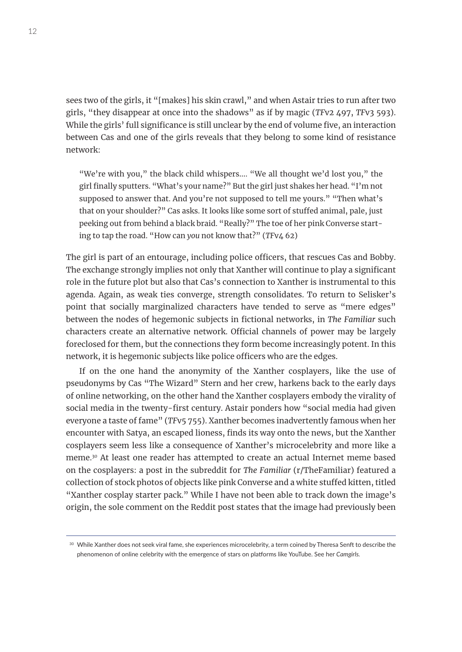sees two of the girls, it "[makes] his skin crawl," and when Astair tries to run after two girls, "they disappear at once into the shadows" as if by magic (*TF*v2 497, *TF*v3 593). While the girls' full significance is still unclear by the end of volume five, an interaction between Cas and one of the girls reveals that they belong to some kind of resistance network:

"We're with you," the black child whispers.... "We all thought we'd lost you," the girl finally sputters. "What's your name?" But the girl just shakes her head. "I'm not supposed to answer that. And you're not supposed to tell me yours." "Then what's that on your shoulder?" Cas asks. It looks like some sort of stuffed animal, pale, just peeking out from behind a black braid. "Really?" The toe of her pink Converse starting to tap the road. "How can *you* not know that?" (*TF*v4 62)

The girl is part of an entourage, including police officers, that rescues Cas and Bobby. The exchange strongly implies not only that Xanther will continue to play a significant role in the future plot but also that Cas's connection to Xanther is instrumental to this agenda. Again, as weak ties converge, strength consolidates. To return to Selisker's point that socially marginalized characters have tended to serve as "mere edges" between the nodes of hegemonic subjects in fictional networks, in *The Familiar* such characters create an alternative network. Official channels of power may be largely foreclosed for them, but the connections they form become increasingly potent. In this network, it is hegemonic subjects like police officers who are the edges.

If on the one hand the anonymity of the Xanther cosplayers, like the use of pseudonyms by Cas "The Wizard" Stern and her crew, harkens back to the early days of online networking, on the other hand the Xanther cosplayers embody the virality of social media in the twenty-first century. Astair ponders how "social media had given everyone a taste of fame" (*TF*v5 755). Xanther becomes inadvertently famous when her encounter with Satya, an escaped lioness, finds its way onto the news, but the Xanther cosplayers seem less like a consequence of Xanther's microcelebrity and more like a meme.30 At least one reader has attempted to create an actual Internet meme based on the cosplayers: a post in the subreddit for *The Familiar* (r/TheFamiliar) featured a collection of stock photos of objects like pink Converse and a white stuffed kitten, titled "Xanther cosplay starter pack." While I have not been able to track down the image's origin, the sole comment on the Reddit post states that the image had previously been

<sup>30</sup> While Xanther does not seek viral fame, she experiences microcelebrity, a term coined by Theresa Senft to describe the phenomenon of online celebrity with the emergence of stars on platforms like YouTube. See her *Camgirls.*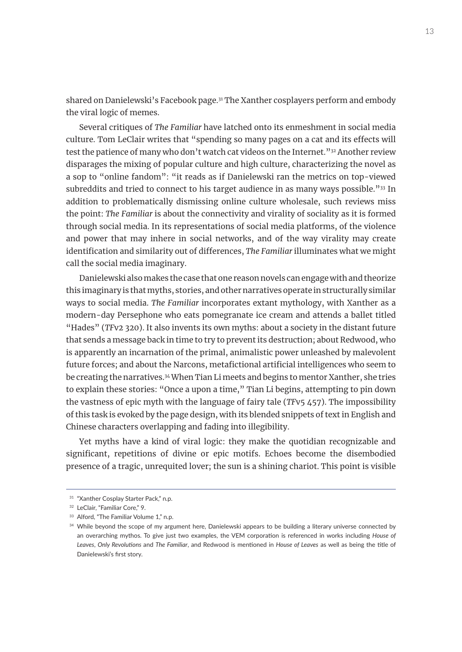shared on Danielewski's Facebook page.<sup>31</sup> The Xanther cosplayers perform and embody the viral logic of memes.

Several critiques of *The Familiar* have latched onto its enmeshment in social media culture. Tom LeClair writes that "spending so many pages on a cat and its effects will test the patience of many who don't watch cat videos on the Internet."<sup>32</sup> Another review disparages the mixing of popular culture and high culture, characterizing the novel as a sop to "online fandom": "it reads as if Danielewski ran the metrics on top-viewed subreddits and tried to connect to his target audience in as many ways possible."33 In addition to problematically dismissing online culture wholesale, such reviews miss the point: *The Familiar* is about the connectivity and virality of sociality as it is formed through social media. In its representations of social media platforms, of the violence and power that may inhere in social networks, and of the way virality may create identification and similarity out of differences, *The Familiar* illuminates what we might call the social media imaginary.

Danielewski also makes the case that one reason novels can engage with and theorize this imaginary is that myths, stories, and other narratives operate in structurally similar ways to social media. *The Familiar* incorporates extant mythology, with Xanther as a modern-day Persephone who eats pomegranate ice cream and attends a ballet titled "Hades" (*TF*v2 320). It also invents its own myths: about a society in the distant future that sends a message back in time to try to prevent its destruction; about Redwood, who is apparently an incarnation of the primal, animalistic power unleashed by malevolent future forces; and about the Narcons, metafictional artificial intelligences who seem to be creating the narratives.34 When Tian Li meets and begins to mentor Xanther, she tries to explain these stories: "Once a upon a time," Tian Li begins, attempting to pin down the vastness of epic myth with the language of fairy tale (*TF*v5 457). The impossibility of this task is evoked by the page design, with its blended snippets of text in English and Chinese characters overlapping and fading into illegibility.

Yet myths have a kind of viral logic: they make the quotidian recognizable and significant, repetitions of divine or epic motifs. Echoes become the disembodied presence of a tragic, unrequited lover; the sun is a shining chariot. This point is visible

<sup>&</sup>lt;sup>31</sup> "Xanther Cosplay Starter Pack," n.p.

<sup>32</sup> LeClair, "Familiar Core," 9.

<sup>&</sup>lt;sup>33</sup> Alford, "The Familiar Volume 1," n.p.

<sup>&</sup>lt;sup>34</sup> While beyond the scope of my argument here, Danielewski appears to be building a literary universe connected by an overarching mythos. To give just two examples, the VEM corporation is referenced in works including *House of Leaves*, *Only Revolutions* and *The Familiar*, and Redwood is mentioned in *House of Leaves* as well as being the title of Danielewski's first story.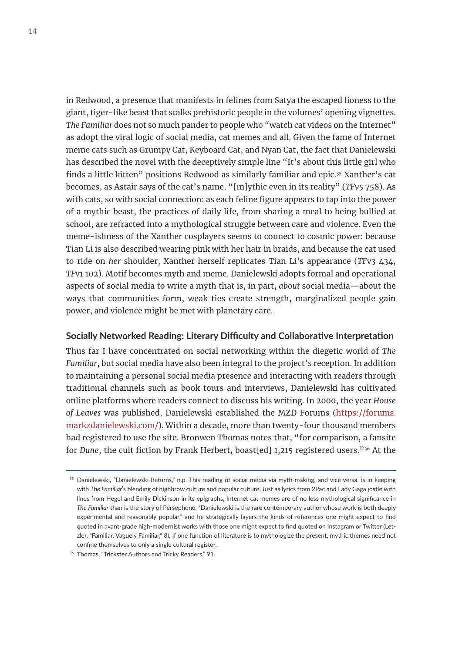in Redwood, a presence that manifests in felines from Satya the escaped lioness to the giant, tiger-like beast that stalks prehistoric people in the volumes' opening vignettes. *The Familiar* does not so much pander to people who "watch cat videos on the Internet" as adopt the viral logic of social media, cat memes and all. Given the fame of Internet meme cats such as Grumpy Cat, Keyboard Cat, and Nyan Cat, the fact that Danielewski has described the novel with the deceptively simple line "It's about this little girl who finds a little kitten" positions Redwood as similarly familiar and epic.35 Xanther's cat becomes, as Astair says of the cat's name, "[m]ythic even in its reality" (*TFv5* 758). As with cats, so with social connection: as each feline figure appears to tap into the power of a mythic beast, the practices of daily life, from sharing a meal to being bullied at school, are refracted into a mythological struggle between care and violence. Even the meme-ishness of the Xanther cosplayers seems to connect to cosmic power: because Tian Li is also described wearing pink with her hair in braids, and because the cat used to ride on *her* shoulder, Xanther herself replicates Tian Li's appearance (*TF*v3 434, *TF*v1 102). Motif becomes myth and meme. Danielewski adopts formal and operational aspects of social media to write a myth that is, in part, *about* social media—about the ways that communities form, weak ties create strength, marginalized people gain power, and violence might be met with planetary care.

## **Socially Networked Reading: Literary Difficulty and Collaborative Interpretation**

Thus far I have concentrated on social networking within the diegetic world of *The Familiar*, but social media have also been integral to the project's reception. In addition to maintaining a personal social media presence and interacting with readers through traditional channels such as book tours and interviews, Danielewski has cultivated online platforms where readers connect to discuss his writing. In 2000, the year *House of Leaves* was published, Danielewski established the MZD Forums [\(https://forums.](https://forums.markzdanielewski.com/) [markzdanielewski.com/](https://forums.markzdanielewski.com/)). Within a decade, more than twenty-four thousand members had registered to use the site. Bronwen Thomas notes that, "for comparison, a fansite for *Dune*, the cult fiction by Frank Herbert, boast[ed] 1,215 registered users."36 At the

<sup>&</sup>lt;sup>35</sup> Danielewski, "Danielewski Returns," n.p. This reading of social media via myth-making, and vice versa, is in keeping with *The Familiar*'s blending of highbrow culture and popular culture. Just as lyrics from 2Pac and Lady Gaga jostle with lines from Hegel and Emily Dickinson in its epigraphs, Internet cat memes are of no less mythological significance in *The Familiar* than is the story of Persephone. "Danielewski is the rare contemporary author whose work is both deeply experimental and reasonably popular," and he strategically layers the kinds of references one might expect to find quoted in avant-grade high-modernist works with those one might expect to find quoted on Instagram or Twitter (Letzler, "Familiar, Vaguely Familiar," 8). If one function of literature is to mythologize the present, mythic themes need not confine themselves to only a single cultural register.

<sup>36</sup> Thomas, "Trickster Authors and Tricky Readers," 91.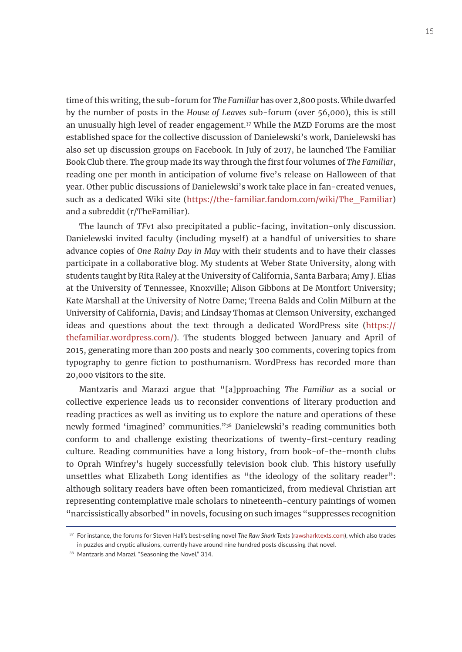time of this writing, the sub-forum for *The Familiar* has over 2,800 posts. While dwarfed by the number of posts in the *House of Leaves* sub-forum (over 56,000), this is still an unusually high level of reader engagement.<sup>37</sup> While the MZD Forums are the most established space for the collective discussion of Danielewski's work, Danielewski has also set up discussion groups on Facebook. In July of 2017, he launched The Familiar Book Club there. The group made its way through the first four volumes of *The Familiar*, reading one per month in anticipation of volume five's release on Halloween of that year. Other public discussions of Danielewski's work take place in fan-created venues, such as a dedicated Wiki site ([https://the-familiar.fandom.com/wiki/The\\_Familiar\)](https://the-familiar.fandom.com/wiki/The_Familiar) and a subreddit (r/TheFamiliar).

The launch of *TF*v1 also precipitated a public-facing, invitation-only discussion. Danielewski invited faculty (including myself) at a handful of universities to share advance copies of *One Rainy Day in May* with their students and to have their classes participate in a collaborative blog. My students at Weber State University, along with students taught by Rita Raley at the University of California, Santa Barbara; Amy J. Elias at the University of Tennessee, Knoxville; Alison Gibbons at De Montfort University; Kate Marshall at the University of Notre Dame; Treena Balds and Colin Milburn at the University of California, Davis; and Lindsay Thomas at Clemson University, exchanged ideas and questions about the text through a dedicated WordPress site ([https://](https://thefamiliar.wordpress.com/) [thefamiliar.wordpress.com/\)](https://thefamiliar.wordpress.com/). The students blogged between January and April of 2015, generating more than 200 posts and nearly 300 comments, covering topics from typography to genre fiction to posthumanism. WordPress has recorded more than 20,000 visitors to the site.

Mantzaris and Marazi argue that "[a]pproaching *The Familiar* as a social or collective experience leads us to reconsider conventions of literary production and reading practices as well as inviting us to explore the nature and operations of these newly formed 'imagined' communities."38 Danielewski's reading communities both conform to and challenge existing theorizations of twenty-first-century reading culture. Reading communities have a long history, from book-of-the-month clubs to Oprah Winfrey's hugely successfully television book club. This history usefully unsettles what Elizabeth Long identifies as "the ideology of the solitary reader": although solitary readers have often been romanticized, from medieval Christian art representing contemplative male scholars to nineteenth-century paintings of women "narcissistically absorbed" in novels, focusing on such images "suppresses recognition

<sup>37</sup> For instance, the forums for Steven Hall's best-selling novel *The Raw Shark Texts* ([rawsharktexts.com](http://rawsharktexts.com)), which also trades in puzzles and cryptic allusions, currently have around nine hundred posts discussing that novel.

<sup>38</sup> Mantzaris and Marazi, "Seasoning the Novel," 314.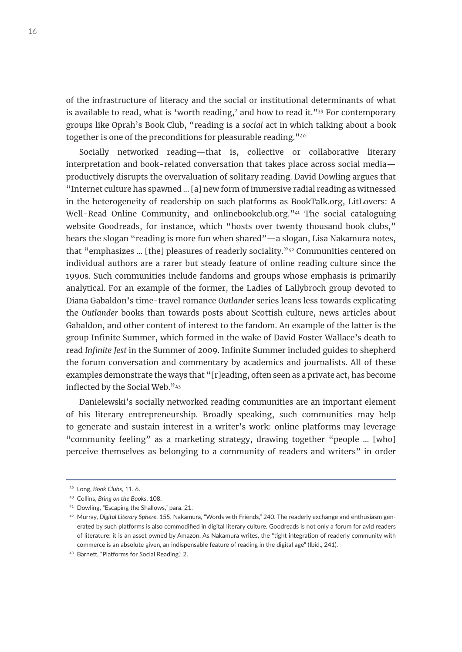of the infrastructure of literacy and the social or institutional determinants of what is available to read, what is 'worth reading,' and how to read it."<sup>39</sup> For contemporary groups like Oprah's Book Club, "reading is a *social* act in which talking about a book together is one of the preconditions for pleasurable reading."<sup>40</sup>

Socially networked reading—that is, collective or collaborative literary interpretation and book-related conversation that takes place across social media productively disrupts the overvaluation of solitary reading. David Dowling argues that "Internet culture has spawned … [a] new form of immersive radial reading as witnessed in the heterogeneity of readership on such platforms as BookTalk.org, LitLovers: A Well-Read Online Community, and onlinebookclub.org.<sup>344</sup> The social cataloguing website Goodreads, for instance, which "hosts over twenty thousand book clubs," bears the slogan "reading is more fun when shared"—a slogan, Lisa Nakamura notes, that "emphasizes … [the] pleasures of readerly sociality."42 Communities centered on individual authors are a rarer but steady feature of online reading culture since the 1990s. Such communities include fandoms and groups whose emphasis is primarily analytical. For an example of the former, the Ladies of Lallybroch group devoted to Diana Gabaldon's time-travel romance *Outlander* series leans less towards explicating the *Outlander* books than towards posts about Scottish culture, news articles about Gabaldon, and other content of interest to the fandom. An example of the latter is the group Infinite Summer, which formed in the wake of David Foster Wallace's death to read *Infinite Jest* in the Summer of 2009. Infinite Summer included guides to shepherd the forum conversation and commentary by academics and journalists. All of these examples demonstrate the ways that "[r]eading, often seen as a private act, has become inflected by the Social Web."43

Danielewski's socially networked reading communities are an important element of his literary entrepreneurship. Broadly speaking, such communities may help to generate and sustain interest in a writer's work: online platforms may leverage "community feeling" as a marketing strategy, drawing together "people … [who] perceive themselves as belonging to a community of readers and writers" in order

<sup>39</sup> Long, *Book Clubs*, 11, 6.

<sup>40</sup> Collins, *Bring on the Books*, 108.

<sup>41</sup> Dowling, "Escaping the Shallows," para. 21.

<sup>42</sup> Murray, *Digital Literary Sphere*, 155. Nakamura, "Words with Friends," 240. The readerly exchange and enthusiasm generated by such platforms is also commodified in digital literary culture. Goodreads is not only a forum for avid readers of literature: it is an asset owned by Amazon. As Nakamura writes, the "tight integration of readerly community with commerce is an absolute given, an indispensable feature of reading in the digital age" (Ibid., 241).

<sup>43</sup> Barnett, "Platforms for Social Reading," 2.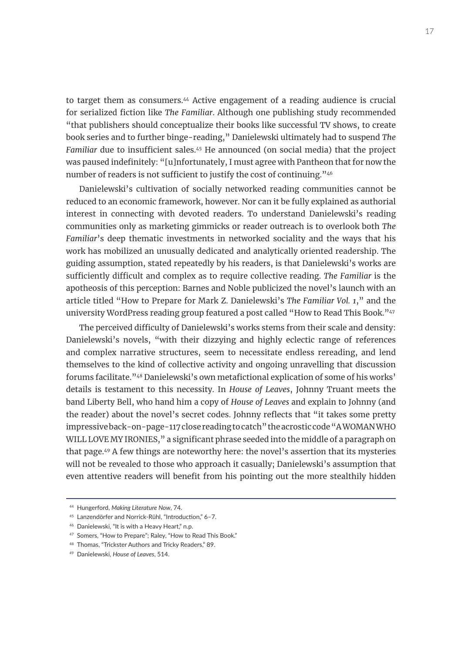to target them as consumers.<sup>44</sup> Active engagement of a reading audience is crucial for serialized fiction like *The Familiar*. Although one publishing study recommended "that publishers should conceptualize their books like successful TV shows, to create book series and to further binge-reading," Danielewski ultimately had to suspend *The Familiar* due to insufficient sales.<sup>45</sup> He announced (on social media) that the project was paused indefinitely: "[u]nfortunately, I must agree with Pantheon that for now the number of readers is not sufficient to justify the cost of continuing."46

Danielewski's cultivation of socially networked reading communities cannot be reduced to an economic framework, however. Nor can it be fully explained as authorial interest in connecting with devoted readers. To understand Danielewski's reading communities only as marketing gimmicks or reader outreach is to overlook both *The Familiar*'s deep thematic investments in networked sociality and the ways that his work has mobilized an unusually dedicated and analytically oriented readership. The guiding assumption, stated repeatedly by his readers, is that Danielewski's works are sufficiently difficult and complex as to require collective reading. *The Familiar* is the apotheosis of this perception: Barnes and Noble publicized the novel's launch with an article titled "How to Prepare for Mark Z. Danielewski's *The Familiar Vol. 1*," and the university WordPress reading group featured a post called "How to Read This Book."47

The perceived difficulty of Danielewski's works stems from their scale and density: Danielewski's novels, "with their dizzying and highly eclectic range of references and complex narrative structures, seem to necessitate endless rereading, and lend themselves to the kind of collective activity and ongoing unravelling that discussion forums facilitate."48 Danielewski's own metafictional explication of some of his works' details is testament to this necessity. In *House of Leaves*, Johnny Truant meets the band Liberty Bell, who hand him a copy of *House of Leaves* and explain to Johnny (and the reader) about the novel's secret codes. Johnny reflects that "it takes some pretty impressive back-on-page-117 close reading to catch" the acrostic code "A WOMAN WHO WILL LOVE MY IRONIES," a significant phrase seeded into the middle of a paragraph on that page.49 A few things are noteworthy here: the novel's assertion that its mysteries will not be revealed to those who approach it casually; Danielewski's assumption that even attentive readers will benefit from his pointing out the more stealthily hidden

<sup>46</sup> Danielewski, "It is with a Heavy Heart," n.p.

<sup>44</sup> Hungerford, *Making Literature Now*, 74.

<sup>45</sup> Lanzendörfer and Norrick-Rühl, "Introduction," 6–7.

<sup>47</sup> Somers, "How to Prepare"; Raley, "How to Read This Book."

<sup>48</sup> Thomas, "Trickster Authors and Tricky Readers," 89.

<sup>49</sup> Danielewski, *House of Leaves*, 514.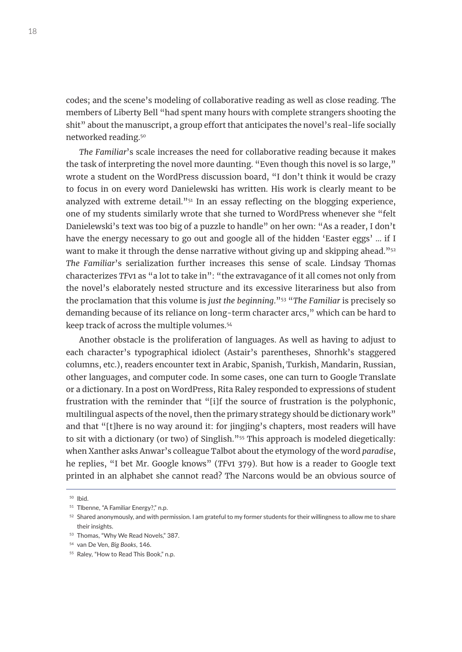codes; and the scene's modeling of collaborative reading as well as close reading. The members of Liberty Bell "had spent many hours with complete strangers shooting the shit" about the manuscript, a group effort that anticipates the novel's real-life socially networked reading.50

*The Familiar*'s scale increases the need for collaborative reading because it makes the task of interpreting the novel more daunting. "Even though this novel is so large," wrote a student on the WordPress discussion board, "I don't think it would be crazy to focus in on every word Danielewski has written. His work is clearly meant to be analyzed with extreme detail.<sup> $v_{51}$ </sup> In an essay reflecting on the blogging experience, one of my students similarly wrote that she turned to WordPress whenever she "felt Danielewski's text was too big of a puzzle to handle" on her own: "As a reader, I don't have the energy necessary to go out and google all of the hidden 'Easter eggs' … if I want to make it through the dense narrative without giving up and skipping ahead."<sup>52</sup> *The Familiar*'s serialization further increases this sense of scale. Lindsay Thomas characterizes *TF*v1 as "a lot to take in": "the extravagance of it all comes not only from the novel's elaborately nested structure and its excessive literariness but also from the proclamation that this volume is *just the beginning*."53 "*The Familiar* is precisely so demanding because of its reliance on long-term character arcs," which can be hard to keep track of across the multiple volumes.<sup>54</sup>

Another obstacle is the proliferation of languages. As well as having to adjust to each character's typographical idiolect (Astair's parentheses, Shnorhk's staggered columns, etc.), readers encounter text in Arabic, Spanish, Turkish, Mandarin, Russian, other languages, and computer code. In some cases, one can turn to Google Translate or a dictionary. In a post on WordPress, Rita Raley responded to expressions of student frustration with the reminder that "[i]f the source of frustration is the polyphonic, multilingual aspects of the novel, then the primary strategy should be dictionary work" and that "[t]here is no way around it: for jingjing's chapters, most readers will have to sit with a dictionary (or two) of Singlish."<sup>55</sup> This approach is modeled diegetically: when Xanther asks Anwar's colleague Talbot about the etymology of the word *paradise*, he replies, "I bet Mr. Google knows" (*TF*v1 379). But how is a reader to Google text printed in an alphabet she cannot read? The Narcons would be an obvious source of

<sup>50</sup> Ibid.

<sup>&</sup>lt;sup>51</sup> Tlbenne, "A Familiar Energy?," n.p.

<sup>&</sup>lt;sup>52</sup> Shared anonymously, and with permission. I am grateful to my former students for their willingness to allow me to share their insights.

<sup>53</sup> Thomas, "Why We Read Novels," 387.

<sup>54</sup> van De Ven, *Big Books*, 146.

<sup>&</sup>lt;sup>55</sup> Raley, "How to Read This Book," n.p.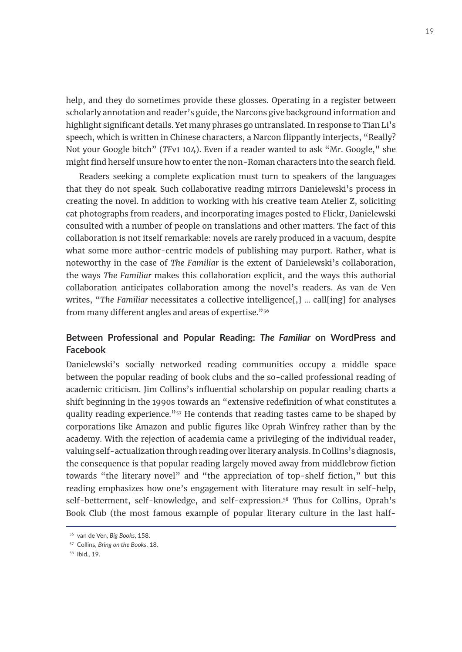help, and they do sometimes provide these glosses. Operating in a register between scholarly annotation and reader's guide, the Narcons give background information and highlight significant details. Yet many phrases go untranslated. In response to Tian Li's speech, which is written in Chinese characters, a Narcon flippantly interjects, "Really? Not your Google bitch" (*TF*v1 104). Even if a reader wanted to ask "Mr. Google," she might find herself unsure how to enter the non-Roman characters into the search field.

Readers seeking a complete explication must turn to speakers of the languages that they do not speak. Such collaborative reading mirrors Danielewski's process in creating the novel. In addition to working with his creative team Atelier Z, soliciting cat photographs from readers, and incorporating images posted to Flickr, Danielewski consulted with a number of people on translations and other matters. The fact of this collaboration is not itself remarkable: novels are rarely produced in a vacuum, despite what some more author-centric models of publishing may purport. Rather, what is noteworthy in the case of *The Familiar* is the extent of Danielewski's collaboration, the ways *The Familiar* makes this collaboration explicit, and the ways this authorial collaboration anticipates collaboration among the novel's readers. As van de Ven writes, "*The Familiar* necessitates a collective intelligence[,] … call[ing] for analyses from many different angles and areas of expertise."56

# **Between Professional and Popular Reading:** *The Familiar* **on WordPress and Facebook**

Danielewski's socially networked reading communities occupy a middle space between the popular reading of book clubs and the so-called professional reading of academic criticism. Jim Collins's influential scholarship on popular reading charts a shift beginning in the 1990s towards an "extensive redefinition of what constitutes a quality reading experience."<sup>57</sup> He contends that reading tastes came to be shaped by corporations like Amazon and public figures like Oprah Winfrey rather than by the academy. With the rejection of academia came a privileging of the individual reader, valuing self-actualization through reading over literary analysis. In Collins's diagnosis, the consequence is that popular reading largely moved away from middlebrow fiction towards "the literary novel" and "the appreciation of top-shelf fiction," but this reading emphasizes how one's engagement with literature may result in self-help, self-betterment, self-knowledge, and self-expression.<sup>58</sup> Thus for Collins, Oprah's Book Club (the most famous example of popular literary culture in the last half-

<sup>56</sup> van de Ven*, Big Books*, 158.

<sup>57</sup> Collins, *Bring on the Books*, 18.

<sup>58</sup> Ibid., 19.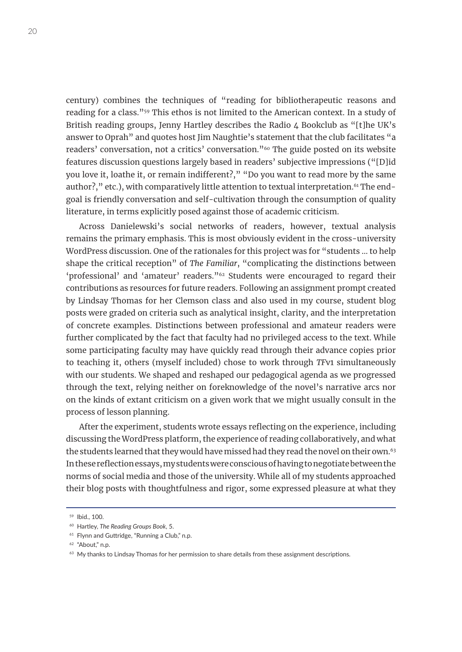century) combines the techniques of "reading for bibliotherapeutic reasons and reading for a class."59 This ethos is not limited to the American context. In a study of British reading groups, Jenny Hartley describes the Radio 4 Bookclub as "[t]he UK's answer to Oprah" and quotes host Jim Naughtie's statement that the club facilitates "a readers' conversation, not a critics' conversation."60 The guide posted on its website features discussion questions largely based in readers' subjective impressions ("[D]id you love it, loathe it, or remain indifferent?," "Do you want to read more by the same author?," etc.), with comparatively little attention to textual interpretation.<sup>61</sup> The endgoal is friendly conversation and self-cultivation through the consumption of quality literature, in terms explicitly posed against those of academic criticism.

Across Danielewski's social networks of readers, however, textual analysis remains the primary emphasis. This is most obviously evident in the cross-university WordPress discussion. One of the rationales for this project was for "students … to help shape the critical reception" of *The Familiar*, "complicating the distinctions between 'professional' and 'amateur' readers."62 Students were encouraged to regard their contributions as resources for future readers. Following an assignment prompt created by Lindsay Thomas for her Clemson class and also used in my course, student blog posts were graded on criteria such as analytical insight, clarity, and the interpretation of concrete examples. Distinctions between professional and amateur readers were further complicated by the fact that faculty had no privileged access to the text. While some participating faculty may have quickly read through their advance copies prior to teaching it, others (myself included) chose to work through *TF*v1 simultaneously with our students. We shaped and reshaped our pedagogical agenda as we progressed through the text, relying neither on foreknowledge of the novel's narrative arcs nor on the kinds of extant criticism on a given work that we might usually consult in the process of lesson planning.

After the experiment, students wrote essays reflecting on the experience, including discussing the WordPress platform, the experience of reading collaboratively, and what the students learned that they would have missed had they read the novel on their own.<sup>63</sup> In these reflection essays, my students were conscious of having to negotiate between the norms of social media and those of the university. While all of my students approached their blog posts with thoughtfulness and rigor, some expressed pleasure at what they

<sup>59</sup> Ibid., 100.

<sup>60</sup> Hartley, *The Reading Groups Book*, 5.

<sup>&</sup>lt;sup>61</sup> Flynn and Guttridge, "Running a Club," n.p.

<sup>62</sup> "About," n.p.

 $63$  My thanks to Lindsay Thomas for her permission to share details from these assignment descriptions.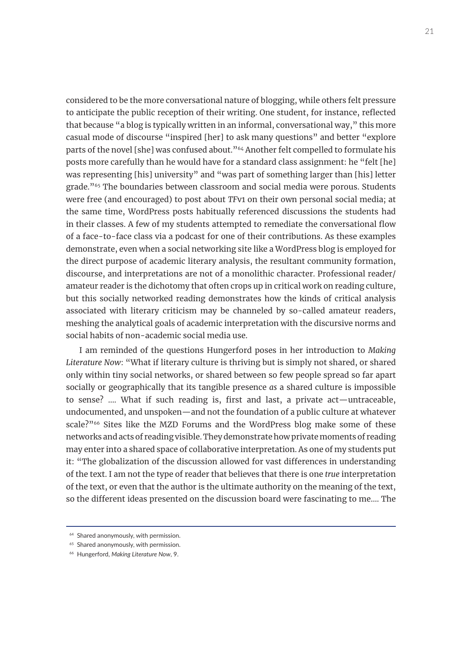considered to be the more conversational nature of blogging, while others felt pressure to anticipate the public reception of their writing. One student, for instance, reflected that because "a blog is typically written in an informal, conversational way," this more casual mode of discourse "inspired [her] to ask many questions" and better "explore parts of the novel [she] was confused about."<sup>64</sup> Another felt compelled to formulate his posts more carefully than he would have for a standard class assignment: he "felt [he] was representing [his] university" and "was part of something larger than [his] letter grade."65 The boundaries between classroom and social media were porous. Students were free (and encouraged) to post about *TF*v1 on their own personal social media; at the same time, WordPress posts habitually referenced discussions the students had in their classes. A few of my students attempted to remediate the conversational flow of a face-to-face class via a podcast for one of their contributions. As these examples demonstrate, even when a social networking site like a WordPress blog is employed for the direct purpose of academic literary analysis, the resultant community formation, discourse, and interpretations are not of a monolithic character. Professional reader/ amateur reader is the dichotomy that often crops up in critical work on reading culture, but this socially networked reading demonstrates how the kinds of critical analysis associated with literary criticism may be channeled by so-called amateur readers, meshing the analytical goals of academic interpretation with the discursive norms and social habits of non-academic social media use.

I am reminded of the questions Hungerford poses in her introduction to *Making Literature Now*: "What if literary culture is thriving but is simply not shared, or shared only within tiny social networks, or shared between so few people spread so far apart socially or geographically that its tangible presence *as* a shared culture is impossible to sense? …. What if such reading is, first and last, a private act—untraceable, undocumented, and unspoken—and not the foundation of a public culture at whatever scale?"<sup>66</sup> Sites like the MZD Forums and the WordPress blog make some of these networks and acts of reading visible. They demonstrate how private moments of reading may enter into a shared space of collaborative interpretation. As one of my students put it: "The globalization of the discussion allowed for vast differences in understanding of the text. I am not the type of reader that believes that there is one *true* interpretation of the text, or even that the author is the ultimate authority on the meaning of the text, so the different ideas presented on the discussion board were fascinating to me…. The

<sup>&</sup>lt;sup>64</sup> Shared anonymously, with permission.

<sup>&</sup>lt;sup>65</sup> Shared anonymously, with permission.

<sup>66</sup> Hungerford, *Making Literature Now*, 9.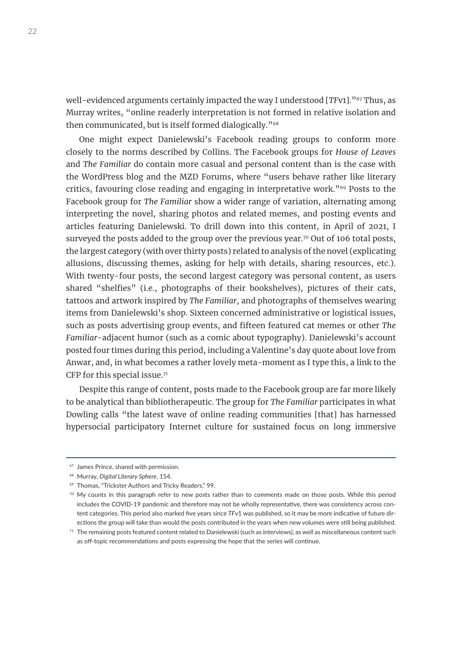well-evidenced arguments certainly impacted the way I understood [*TFv1*]."<sup>67</sup> Thus, as Murray writes, "online readerly interpretation is not formed in relative isolation and then communicated, but is itself formed dialogically."68

One might expect Danielewski's Facebook reading groups to conform more closely to the norms described by Collins. The Facebook groups for *House of Leaves* and *The Familiar* do contain more casual and personal content than is the case with the WordPress blog and the MZD Forums, where "users behave rather like literary critics, favouring close reading and engaging in interpretative work."69 Posts to the Facebook group for *The Familiar* show a wider range of variation, alternating among interpreting the novel, sharing photos and related memes, and posting events and articles featuring Danielewski. To drill down into this content, in April of 2021, I surveyed the posts added to the group over the previous year.<sup>70</sup> Out of 106 total posts, the largest category (with over thirty posts) related to analysis of the novel (explicating allusions, discussing themes, asking for help with details, sharing resources, etc.). With twenty-four posts, the second largest category was personal content, as users shared "shelfies" (i.e., photographs of their bookshelves), pictures of their cats, tattoos and artwork inspired by *The Familiar*, and photographs of themselves wearing items from Danielewski's shop. Sixteen concerned administrative or logistical issues, such as posts advertising group events, and fifteen featured cat memes or other *The Familiar*-adjacent humor (such as a comic about typography). Danielewski's account posted four times during this period, including a Valentine's day quote about love from Anwar, and, in what becomes a rather lovely meta-moment as I type this, a link to the CFP for this special issue.71

Despite this range of content, posts made to the Facebook group are far more likely to be analytical than bibliotherapeutic. The group for *The Familiar* participates in what Dowling calls "the latest wave of online reading communities [that] has harnessed hypersocial participatory Internet culture for sustained focus on long immersive

<sup>67</sup> James Prince, shared with permission.

<sup>68</sup> Murray, *Digital Literary Sphere*, 154.

<sup>69</sup> Thomas, "Trickster Authors and Tricky Readers," 99.

<sup>&</sup>lt;sup>70</sup> My counts in this paragraph refer to new posts rather than to comments made on those posts. While this period includes the COVID-19 pandemic and therefore may not be wholly representative, there was consistency across content categories. This period also marked five years since *TF*v1 was published, so it may be more indicative of future directions the group will take than would the posts contributed in the years when new volumes were still being published.

 $71$  The remaining posts featured content related to Danielewski (such as interviews), as well as miscellaneous content such as off-topic recommendations and posts expressing the hope that the series will continue.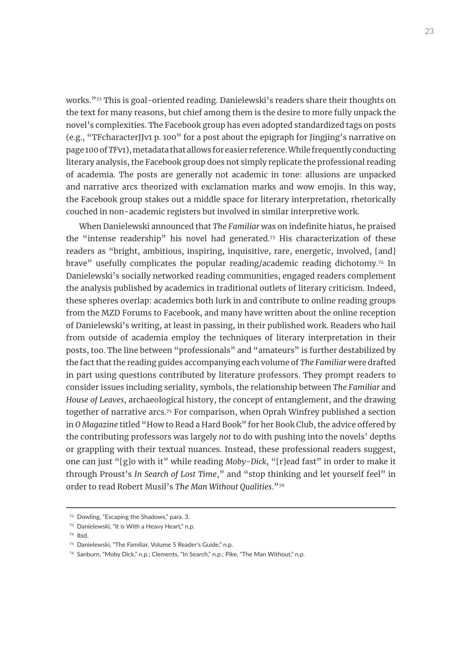works."72 This is goal-oriented reading. Danielewski's readers share their thoughts on the text for many reasons, but chief among them is the desire to more fully unpack the novel's complexities. The Facebook group has even adopted standardized tags on posts (e.g., "TFcharacterJJv1 p. 100" for a post about the epigraph for Jingjing's narrative on page 100 of *TF*v1), metadata that allows for easier reference. While frequently conducting literary analysis, the Facebook group does not simply replicate the professional reading of academia. The posts are generally not academic in tone: allusions are unpacked and narrative arcs theorized with exclamation marks and wow emojis. In this way, the Facebook group stakes out a middle space for literary interpretation, rhetorically couched in non-academic registers but involved in similar interpretive work.

When Danielewski announced that *The Familiar* was on indefinite hiatus, he praised the "intense readership" his novel had generated.73 His characterization of these readers as "bright, ambitious, inspiring, inquisitive, rare, energetic, involved, [and] brave" usefully complicates the popular reading/academic reading dichotomy.<sup>74</sup> In Danielewski's socially networked reading communities, engaged readers complement the analysis published by academics in traditional outlets of literary criticism. Indeed, these spheres overlap: academics both lurk in and contribute to online reading groups from the MZD Forums to Facebook, and many have written about the online reception of Danielewski's writing, at least in passing, in their published work. Readers who hail from outside of academia employ the techniques of literary interpretation in their posts, too. The line between "professionals" and "amateurs" is further destabilized by the fact that the reading guides accompanying each volume of *The Familiar* were drafted in part using questions contributed by literature professors. They prompt readers to consider issues including seriality, symbols, the relationship between *The Familiar* and *House of Leaves*, archaeological history, the concept of entanglement, and the drawing together of narrative arcs.75 For comparison, when Oprah Winfrey published a section in *O Magazine* titled "How to Read a Hard Book" for her Book Club, the advice offered by the contributing professors was largely *not* to do with pushing into the novels' depths or grappling with their textual nuances. Instead, these professional readers suggest, one can just "[g]o with it" while reading *Moby-Dick*, "[r]ead fast" in order to make it through Proust's *In Search of Lost Time*," and "stop thinking and let yourself feel" in order to read Robert Musil's *The Man Without Qualities*."76

<sup>72</sup> Dowling, "Escaping the Shadows," para. 3.

<sup>&</sup>lt;sup>73</sup> Danielewski, "It is With a Heavy Heart," n.p.

<sup>74</sup> Ibid.

<sup>&</sup>lt;sup>75</sup> Danielewski, "The Familiar, Volume 5 Reader's Guide," n.p.

<sup>76</sup> Sanburn, "Moby Dick," n.p.; Clements, "In Search," n.p.; Pike, "The Man Without," n.p.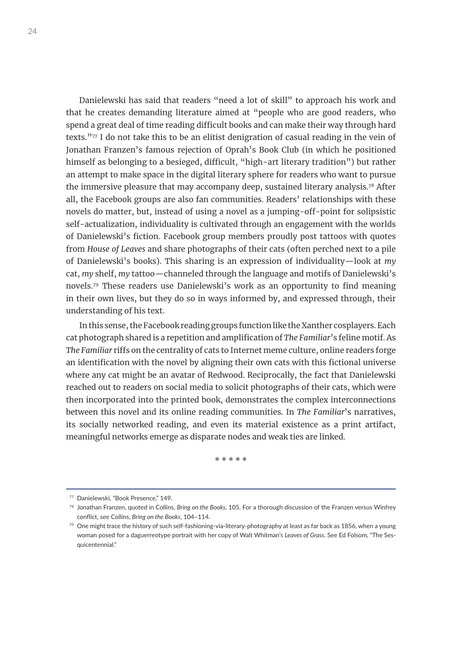Danielewski has said that readers "need a lot of skill" to approach his work and that he creates demanding literature aimed at "people who are good readers, who spend a great deal of time reading difficult books and can make their way through hard texts."77 I do not take this to be an elitist denigration of casual reading in the vein of Jonathan Franzen's famous rejection of Oprah's Book Club (in which he positioned himself as belonging to a besieged, difficult, "high-art literary tradition") but rather an attempt to make space in the digital literary sphere for readers who want to pursue the immersive pleasure that may accompany deep, sustained literary analysis.<sup>78</sup> After all, the Facebook groups are also fan communities. Readers' relationships with these novels do matter, but, instead of using a novel as a jumping-off-point for solipsistic self-actualization, individuality is cultivated through an engagement with the worlds of Danielewski's fiction. Facebook group members proudly post tattoos with quotes from *House of Leaves* and share photographs of their cats (often perched next to a pile of Danielewski's books). This sharing is an expression of individuality—look at *my* cat, *my* shelf, *my* tattoo—channeled through the language and motifs of Danielewski's novels.79 These readers use Danielewski's work as an opportunity to find meaning in their own lives, but they do so in ways informed by, and expressed through, their understanding of his text.

In this sense, the Facebook reading groups function like the Xanther cosplayers. Each cat photograph shared is a repetition and amplification of *The Familiar*'s feline motif. As *The Familiar* riffs on the centrality of cats to Internet meme culture, online readers forge an identification with the novel by aligning their own cats with this fictional universe where any cat might be an avatar of Redwood. Reciprocally, the fact that Danielewski reached out to readers on social media to solicit photographs of their cats, which were then incorporated into the printed book, demonstrates the complex interconnections between this novel and its online reading communities. In *The Familiar*'s narratives, its socially networked reading, and even its material existence as a print artifact, meaningful networks emerge as disparate nodes and weak ties are linked.

\* \* \* \* \*

<sup>77</sup> Danielewski, "Book Presence," 149.

<sup>78</sup> Jonathan Franzen, quoted in Collins, *Bring on the Books*, 105. For a thorough discussion of the Franzen versus Winfrey conflict, see Collins, *Bring on the Books*, 104–114.

 $79$  One might trace the history of such self-fashioning-via-literary-photography at least as far back as 1856, when a young woman posed for a daguerreotype portrait with her copy of Walt Whitman's *Leaves of Grass*. See Ed Folsom, "The Sesquicentennial."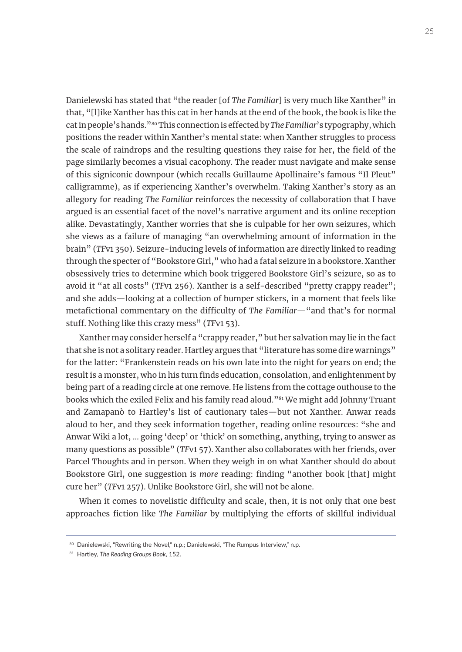Danielewski has stated that "the reader [of *The Familiar*] is very much like Xanther" in that, "[l]ike Xanther has this cat in her hands at the end of the book, the book is like the cat in people's hands."80 This connection is effected by *The Familiar*'s typography, which positions the reader within Xanther's mental state: when Xanther struggles to process the scale of raindrops and the resulting questions they raise for her, the field of the page similarly becomes a visual cacophony. The reader must navigate and make sense of this signiconic downpour (which recalls Guillaume Apollinaire's famous "Il Pleut" calligramme), as if experiencing Xanther's overwhelm. Taking Xanther's story as an allegory for reading *The Familiar* reinforces the necessity of collaboration that I have argued is an essential facet of the novel's narrative argument and its online reception alike. Devastatingly, Xanther worries that she is culpable for her own seizures, which she views as a failure of managing "an overwhelming amount of information in the brain" (*TF*v1 350). Seizure-inducing levels of information are directly linked to reading through the specter of "Bookstore Girl," who had a fatal seizure in a bookstore. Xanther obsessively tries to determine which book triggered Bookstore Girl's seizure, so as to avoid it "at all costs" (*TF*v1 256). Xanther is a self-described "pretty crappy reader"; and she adds—looking at a collection of bumper stickers, in a moment that feels like metafictional commentary on the difficulty of *The Familiar*—"and that's for normal stuff. Nothing like this crazy mess" (*TF*v1 53).

Xanther may consider herself a "crappy reader," but her salvation may lie in the fact that she is not a solitary reader. Hartley argues that "literature has some dire warnings" for the latter: "Frankenstein reads on his own late into the night for years on end; the result is a monster, who in his turn finds education, consolation, and enlightenment by being part of a reading circle at one remove. He listens from the cottage outhouse to the books which the exiled Felix and his family read aloud."81 We might add Johnny Truant and Zamapanò to Hartley's list of cautionary tales—but not Xanther. Anwar reads aloud to her, and they seek information together, reading online resources: "she and Anwar Wiki a lot, … going 'deep' or 'thick' on something, anything, trying to answer as many questions as possible" (*TF*v1 57). Xanther also collaborates with her friends, over Parcel Thoughts and in person. When they weigh in on what Xanther should do about Bookstore Girl, one suggestion is *more* reading: finding "another book [that] might cure her" (*TF*v1 257). Unlike Bookstore Girl, she will not be alone.

When it comes to novelistic difficulty and scale, then, it is not only that one best approaches fiction like *The Familiar* by multiplying the efforts of skillful individual

<sup>80</sup> Danielewski, "Rewriting the Novel," n.p.; Danielewski, "The Rumpus Interview," n.p.

<sup>81</sup> Hartley, *The Reading Groups Book*, 152.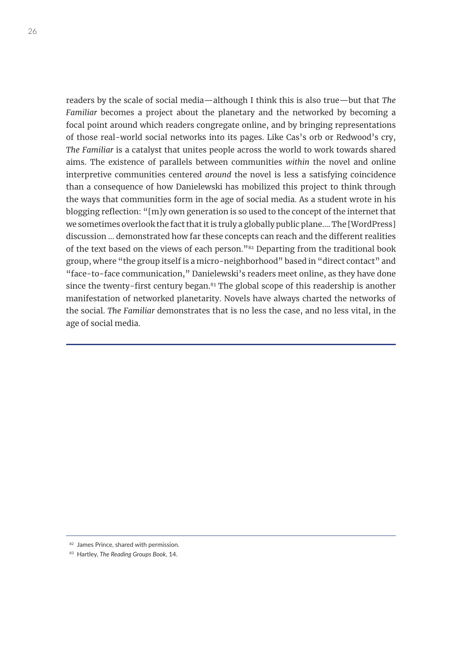readers by the scale of social media—although I think this is also true—but that *The Familiar* becomes a project about the planetary and the networked by becoming a focal point around which readers congregate online, and by bringing representations of those real-world social networks into its pages. Like Cas's orb or Redwood's cry, *The Familiar* is a catalyst that unites people across the world to work towards shared aims. The existence of parallels between communities *within* the novel and online interpretive communities centered *around* the novel is less a satisfying coincidence than a consequence of how Danielewski has mobilized this project to think through the ways that communities form in the age of social media. As a student wrote in his blogging reflection: "[m]y own generation is so used to the concept of the internet that we sometimes overlook the fact that it is truly a globally public plane…. The [WordPress] discussion … demonstrated how far these concepts can reach and the different realities of the text based on the views of each person."<sup>82</sup> Departing from the traditional book group, where "the group itself is a micro-neighborhood" based in "direct contact" and "face-to-face communication," Danielewski's readers meet online, as they have done since the twenty-first century began.<sup>83</sup> The global scope of this readership is another manifestation of networked planetarity. Novels have always charted the networks of the social. *The Familiar* demonstrates that is no less the case, and no less vital, in the age of social media.

<sup>82</sup> James Prince, shared with permission.

<sup>83</sup> Hartley, *The Reading Groups Book*, 14.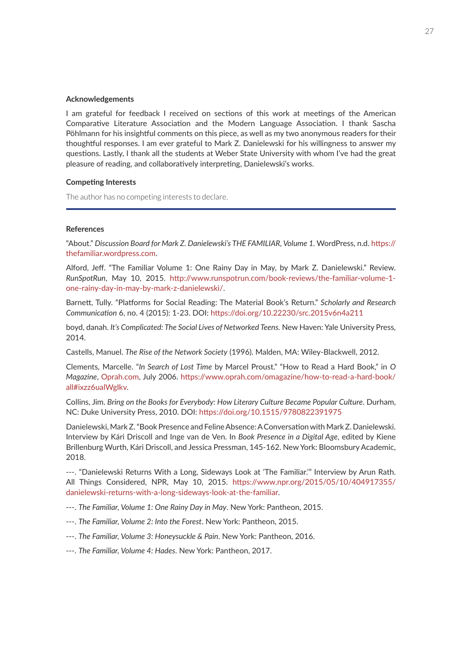#### **Acknowledgements**

I am grateful for feedback I received on sections of this work at meetings of the American Comparative Literature Association and the Modern Language Association. I thank Sascha Pöhlmann for his insightful comments on this piece, as well as my two anonymous readers for their thoughtful responses. I am ever grateful to Mark Z. Danielewski for his willingness to answer my questions. Lastly, I thank all the students at Weber State University with whom I've had the great pleasure of reading, and collaboratively interpreting, Danielewski's works.

#### **Competing Interests**

The author has no competing interests to declare.

#### **References**

"About." *Discussion Board for Mark Z. Danielewski's THE FAMILIAR, Volume 1.* WordPress, n.d. [https://](https://thefamiliar.wordpress.com) [thefamiliar.wordpress.com.](https://thefamiliar.wordpress.com)

Alford, Jeff. "The Familiar Volume 1: One Rainy Day in May, by Mark Z. Danielewski." Review. *RunSpotRun*, May 10, 2015. [http://www.runspotrun.com/book-reviews/the-familiar-volume-1](http://www.runspotrun.com/book-reviews/the-familiar-volume-1-one-rainy-day-in-may-by-mark-z-danielewski/) [one-rainy-day-in-may-by-mark-z-danielewski/.](http://www.runspotrun.com/book-reviews/the-familiar-volume-1-one-rainy-day-in-may-by-mark-z-danielewski/)

Barnett, Tully. "Platforms for Social Reading: The Material Book's Return." *Scholarly and Research Communication* 6, no. 4 (2015): 1-23. DOI: <https://doi.org/10.22230/src.2015v6n4a211>

boyd, danah. *It's Complicated: The Social Lives of Networked Teens.* New Haven: Yale University Press, 2014.

Castells, Manuel. *The Rise of the Network Society* (1996). Malden, MA: Wiley-Blackwell, 2012.

Clements, Marcelle. "*In Search of Lost Time* by Marcel Proust." "How to Read a Hard Book," in *O Magazine*, [Oprah.com](http://Oprah.com), July 2006. [https://www.oprah.com/omagazine/how-to-read-a-hard-book/](https://www.oprah.com/omagazine/how-to-read-a-hard-book/all#ixzz6ualWgIkv) [all#ixzz6ualWgIkv](https://www.oprah.com/omagazine/how-to-read-a-hard-book/all#ixzz6ualWgIkv).

Collins, Jim. *Bring on the Books for Everybody: How Literary Culture Became Popular Culture*. Durham, NC: Duke University Press, 2010. DOI: <https://doi.org/10.1515/9780822391975>

Danielewski, Mark Z. "Book Presence and Feline Absence: A Conversation with Mark Z. Danielewski. Interview by Kári Driscoll and Inge van de Ven. In *Book Presence in a Digital Age*, edited by Kiene Brillenburg Wurth, Kári Driscoll, and Jessica Pressman, 145-162. New York: Bloomsbury Academic, 2018.

---. "Danielewski Returns With a Long, Sideways Look at 'The Familiar.'" Interview by Arun Rath. All Things Considered, NPR, May 10, 2015. [https://www.npr.org/2015/05/10/404917355/](https://www.npr.org/2015/05/10/404917355/danielewski-returns-with-a-long-sideways-look-at-the-familiar) [danielewski-returns-with-a-long-sideways-look-at-the-familiar](https://www.npr.org/2015/05/10/404917355/danielewski-returns-with-a-long-sideways-look-at-the-familiar).

---. *The Familiar, Volume 1: One Rainy Day in May*. New York: Pantheon, 2015.

- ---. *The Familiar, Volume 2: Into the Forest*. New York: Pantheon, 2015.
- ---. *The Familiar, Volume 3: Honeysuckle & Pain*. New York: Pantheon, 2016.

---. *The Familiar, Volume 4: Hades*. New York: Pantheon, 2017.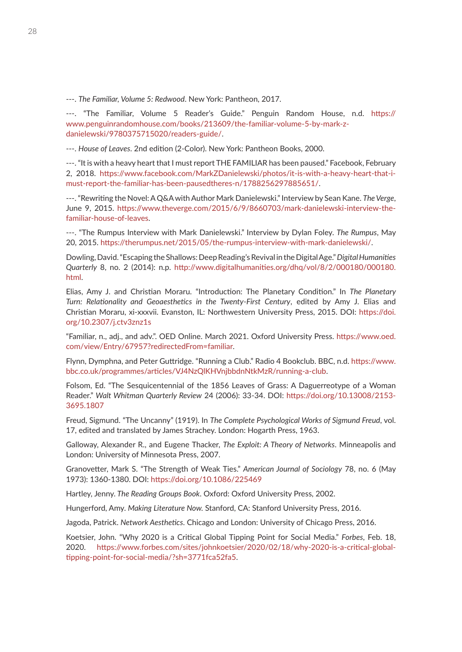---. *The Familiar, Volume 5: Redwood*. New York: Pantheon, 2017.

---. "The Familiar, Volume 5 Reader's Guide." Penguin Random House, n.d. [https://](https://www.penguinrandomhouse.com/books/213609/the-familiar-volume-5-by-mark-z-danielewski/9780375715020/readers-guide/) [www.penguinrandomhouse.com/books/213609/the-familiar-volume-5-by-mark-z](https://www.penguinrandomhouse.com/books/213609/the-familiar-volume-5-by-mark-z-danielewski/9780375715020/readers-guide/)[danielewski/9780375715020/readers-guide/.](https://www.penguinrandomhouse.com/books/213609/the-familiar-volume-5-by-mark-z-danielewski/9780375715020/readers-guide/)

---. *House of Leaves*. 2nd edition (2-Color). New York: Pantheon Books, 2000.

---. "It is with a heavy heart that I must report THE FAMILIAR has been paused." Facebook, February 2, 2018. [https://www.facebook.com/MarkZDanielewski/photos/it-is-with-a-heavy-heart-that-i](https://www.facebook.com/MarkZDanielewski/photos/it-is-with-a-heavy-heart-that-i-must-report-the-familiar-has-been-pausedtheres-n/1788256297885651/)must-report-the-familiar-ha[s-been-pausedtheres-n/1788256297885651/.](https://www.facebook.com/MarkZDanielewski/photos/it-is-with-a-heavy-heart-that-i-must-report-the-familiar-has-been-pausedtheres-n/1788256297885651/)

---. "Rewriting the Novel: A Q&A with Author Mark Danielewski." Interview by Sean Kane. *The Verge*, June 9, 2015. [https://www.theverge.com/2015/6/9/8660703/mark-danielewski-interview-the](https://www.theverge.com/2015/6/9/8660703/mark-danielewski-interview-the-familiar-house-of-leaves)[familiar-house-of-leaves](https://www.theverge.com/2015/6/9/8660703/mark-danielewski-interview-the-familiar-house-of-leaves).

---. "The Rumpus Interview with Mark Danielewski." Interview by Dylan Foley. *The Rumpus*, May 20, 2015. [https://therumpus.net/2015/05/the-rumpus-interview-with-mark-danielewski/.](https://therumpus.net/2015/05/the-rumpus-interview-with-mark-danielewski/)

Dowling, David. "Escaping the Shallows: Deep Reading's Revival in the Digital Age." *Digital Humanities Quarterly* 8, no. 2 (2014): n.p. [http://www.digitalhumanities.org/dhq/vol/8/2/000180/000180.](http://www.digitalhumanities.org/dhq/vol/8/2/000180/000180.html) [html](http://www.digitalhumanities.org/dhq/vol/8/2/000180/000180.html).

Elias, Amy J. and Christian Moraru. "Introduction: The Planetary Condition." In *The Planetary Turn: Relationality and Geoaesthetics in the Twenty-First Century*, edited by Amy J. Elias and Christian Moraru, xi-xxxvii. Evanston, IL: Northwestern University Press, 2015. DOI: [https://doi.](https://doi.org/10.2307/j.ctv3znz1s) [org/10.2307/j.ctv3znz1s](https://doi.org/10.2307/j.ctv3znz1s)

"Familiar, n., adj., and adv.". OED Online. March 2021. Oxford University Press. [https://www.oed.](https://www.oed.com/view/Entry/67957?redirectedFrom=familiar) [com/view/Entry/67957?redirectedFrom=familiar](https://www.oed.com/view/Entry/67957?redirectedFrom=familiar).

Flynn, Dymphna, and Peter Guttridge. "Running a Club." Radio 4 Bookclub. BBC, n.d. [https://www.](https://www.bbc.co.uk/programmes/articles/VJ4NzQlKHVnjbbdnNtkMzR/running-a-club) [bbc.co.uk/programmes/articles/VJ4NzQlKHVnjbbdnNtkMzR/running-a-club](https://www.bbc.co.uk/programmes/articles/VJ4NzQlKHVnjbbdnNtkMzR/running-a-club).

Folsom, Ed. "The Sesquicentennial of the 1856 Leaves of Grass: A Daguerreotype of a Woman Reader." *Walt Whitman Quarterly Review* 24 (2006): 33-34. DOI: [https://doi.org/10.13008/2153-](https://doi.org/10.13008/2153-3695.1807) [3695.1807](https://doi.org/10.13008/2153-3695.1807)

Freud, Sigmund. "The Uncanny" (1919). In *The Complete Psychological Works of Sigmund Freud*, vol. 17, edited and translated by James Strachey. London: Hogarth Press, 1963.

Galloway, Alexander R., and Eugene Thacker, *The Exploit: A Theory of Networks*. Minneapolis and London: University of Minnesota Press, 2007.

Granovetter, Mark S. "The Strength of Weak Ties." *American Journal of Sociology* 78, no. 6 (May 1973): 1360-1380. DOI:<https://doi.org/10.1086/225469>

Hartley, Jenny. *The Reading Groups Book*. Oxford: Oxford University Press, 2002.

Hungerford, Amy. *Making Literature Now.* Stanford, CA: Stanford University Press, 2016.

Jagoda, Patrick. *Network Aesthetics*. Chicago and London: University of Chicago Press, 2016.

Koetsier, John. "Why 2020 is a Critical Global Tipping Point for Social Media." *Forbes*, Feb. 18, 2020. [https://www.forbes.com/sites/johnkoetsier/2020/02/18/why-2020-is-a-critical-global](https://www.forbes.com/sites/johnkoetsier/2020/02/18/why-2020-is-a-critical-global-tipping-point-for-social-media/?sh=3771fca52fa5)[tipping-point-for-social-media/?sh=3771fca52fa5](https://www.forbes.com/sites/johnkoetsier/2020/02/18/why-2020-is-a-critical-global-tipping-point-for-social-media/?sh=3771fca52fa5).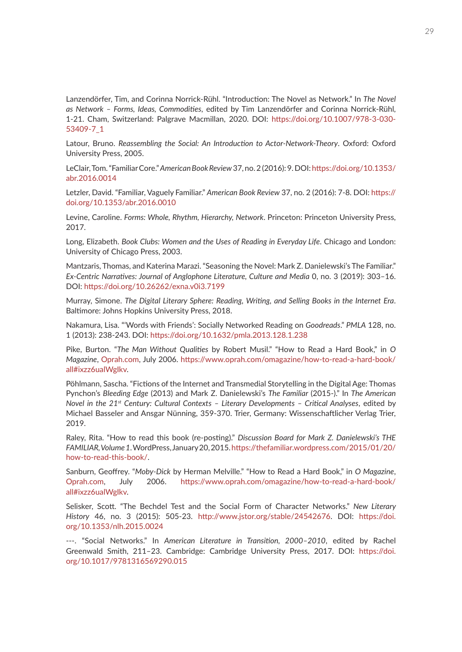Lanzendörfer, Tim, and Corinna Norrick-Rühl. "Introduction: The Novel as Network." In *The Novel as Network – Forms, Ideas, Commodities*, edited by Tim Lanzendörfer and Corinna Norrick-Rühl, 1-21. Cham, Switzerland: Palgrave Macmillan, 2020. DOI: [https://doi.org/10.1007/978-3-030-](https://doi.org/10.1007/978-3-030-53409-7_1) [53409-7\\_1](https://doi.org/10.1007/978-3-030-53409-7_1)

Latour, Bruno. *Reassembling the Social: An Introduction to Actor-Network-Theory*. Oxford: Oxford University Press, 2005.

LeClair, Tom. "Familiar Core." *American Book Review* 37, no. 2 (2016): 9. DOI: [https://doi.org/10.1353/](https://doi.org/10.1353/abr.2016.0014) [abr.2016.0014](https://doi.org/10.1353/abr.2016.0014)

Letzler, David. "Familiar, Vaguely Familiar." *American Book Review* 37, no. 2 (2016): 7-8. DOI: [https://](https://doi.org/10.1353/abr.2016.0010) [doi.org/10.1353/abr.2016.0010](https://doi.org/10.1353/abr.2016.0010)

Levine, Caroline. *Forms: Whole, Rhythm, Hierarchy, Network*. Princeton: Princeton University Press, 2017.

Long, Elizabeth. *Book Clubs: Women and the Uses of Reading in Everyday Life*. Chicago and London: University of Chicago Press, 2003.

Mantzaris, Thomas, and Katerina Marazi. "Seasoning the Novel: Mark Z. Danielewski's The Familiar." *Ex-Centric Narratives: Journal of Anglophone Literature, Culture and Media* 0, no. 3 (2019): 303–16. DOI: <https://doi.org/10.26262/exna.v0i3.7199>

Murray, Simone. *The Digital Literary Sphere: Reading, Writing, and Selling Books in the Internet Era*. Baltimore: Johns Hopkins University Press, 2018.

Nakamura, Lisa. "'Words with Friends': Socially Networked Reading on *Goodreads*." *PMLA* 128, no. 1 (2013): 238-243. DOI: <https://doi.org/10.1632/pmla.2013.128.1.238>

Pike, Burton. "*The Man Without Qualities* by Robert Musil." "How to Read a Hard Book," in *O Magazine*, [Oprah.com](http://Oprah.com), July 2006. [https://www.oprah.com/omagazine/how-to-read-a-hard-book/](https://www.oprah.com/omagazine/how-to-read-a-hard-book/all#ixzz6ualWgIkv) [all#ixzz6ualWgIkv](https://www.oprah.com/omagazine/how-to-read-a-hard-book/all#ixzz6ualWgIkv).

Pöhlmann, Sascha. "Fictions of the Internet and Transmedial Storytelling in the Digital Age: Thomas Pynchon's *Bleeding Edge* (2013) and Mark Z. Danielewski's *The Familiar* (2015-)." In *The American Novel in the 21st Century: Cultural Contexts – Literary Developments – Critical Analyses*, edited by Michael Basseler and Ansgar Nünning, 359-370. Trier, Germany: Wissenschaftlicher Verlag Trier, 2019.

Raley, Rita. "How to read this book (re-posting)." *Discussion Board for Mark Z. Danielewski's THE FAMILIAR, Volume 1*. WordPress, January 20, 2015. [https://thefamiliar.wordpress.com/2015/01/20/](https://thefamiliar.wordpress.com/2015/01/20/how-to-read-this-book/) [how-to-read-this-book/](https://thefamiliar.wordpress.com/2015/01/20/how-to-read-this-book/).

Sanburn, Geoffrey. "*Moby-Dick* by Herman Melville." "How to Read a Hard Book," in *O Magazine*, [Oprah.com,](http://Oprah.com) July 2006. [https://www.oprah.com/omagazine/how-to-read-a-hard-book/](https://www.oprah.com/omagazine/how-to-read-a-hard-book/all#ixzz6ualWgIkv) [all#ixzz6ualWgIkv](https://www.oprah.com/omagazine/how-to-read-a-hard-book/all#ixzz6ualWgIkv).

Selisker, Scott. "The Bechdel Test and the Social Form of Character Networks." *New Literary History* 46, no. 3 (2015): 505-23. <http://www.jstor.org/stable/24542676>. DOI: [https://doi.](https://doi.org/10.1353/nlh.2015.0024) [org/10.1353/nlh.2015.0024](https://doi.org/10.1353/nlh.2015.0024)

---. "Social Networks." In *American Literature in Transition, 2000–2010*, edited by Rachel Greenwald Smith, 211–23. Cambridge: Cambridge University Press, 2017. DOI: [https://doi.](https://doi.org/10.1017/9781316569290.015) [org/10.1017/9781316569290.015](https://doi.org/10.1017/9781316569290.015)